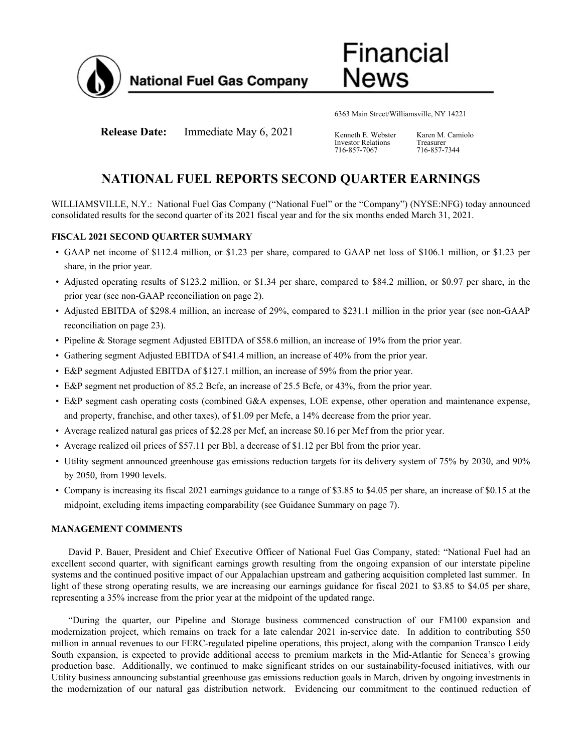

**Financial** News

6363 Main Street/Williamsville, NY 14221

**Release Date:** Immediate May 6, 2021 Kenneth E. Webster

Investor Relations 716-857-7067

Karen M. Camiolo Treasurer 716-857-7344

# **NATIONAL FUEL REPORTS SECOND QUARTER EARNINGS**

WILLIAMSVILLE, N.Y.: National Fuel Gas Company ("National Fuel" or the "Company") (NYSE:NFG) today announced consolidated results for the second quarter of its 2021 fiscal year and for the six months ended March 31, 2021.

## **FISCAL 2021 SECOND QUARTER SUMMARY**

- GAAP net income of \$112.4 million, or \$1.23 per share, compared to GAAP net loss of \$106.1 million, or \$1.23 per share, in the prior year.
- Adjusted operating results of \$123.2 million, or \$1.34 per share, compared to \$84.2 million, or \$0.97 per share, in the prior year (see non-GAAP reconciliation on page 2).
- Adjusted EBITDA of \$298.4 million, an increase of 29%, compared to \$231.1 million in the prior year (see non-GAAP reconciliation on page 23).
- Pipeline & Storage segment Adjusted EBITDA of \$58.6 million, an increase of 19% from the prior year.
- Gathering segment Adjusted EBITDA of \$41.4 million, an increase of 40% from the prior year.
- E&P segment Adjusted EBITDA of \$127.1 million, an increase of 59% from the prior year.
- E&P segment net production of 85.2 Bcfe, an increase of 25.5 Bcfe, or 43%, from the prior year.
- E&P segment cash operating costs (combined G&A expenses, LOE expense, other operation and maintenance expense, and property, franchise, and other taxes), of \$1.09 per Mcfe, a 14% decrease from the prior year.
- Average realized natural gas prices of \$2.28 per Mcf, an increase \$0.16 per Mcf from the prior year.
- Average realized oil prices of \$57.11 per Bbl, a decrease of \$1.12 per Bbl from the prior year.
- Utility segment announced greenhouse gas emissions reduction targets for its delivery system of 75% by 2030, and 90% by 2050, from 1990 levels.
- Company is increasing its fiscal 2021 earnings guidance to a range of \$3.85 to \$4.05 per share, an increase of \$0.15 at the midpoint, excluding items impacting comparability (see Guidance Summary on page 7).

### **MANAGEMENT COMMENTS**

David P. Bauer, President and Chief Executive Officer of National Fuel Gas Company, stated: "National Fuel had an excellent second quarter, with significant earnings growth resulting from the ongoing expansion of our interstate pipeline systems and the continued positive impact of our Appalachian upstream and gathering acquisition completed last summer. In light of these strong operating results, we are increasing our earnings guidance for fiscal 2021 to \$3.85 to \$4.05 per share, representing a 35% increase from the prior year at the midpoint of the updated range.

"During the quarter, our Pipeline and Storage business commenced construction of our FM100 expansion and modernization project, which remains on track for a late calendar 2021 in-service date. In addition to contributing \$50 million in annual revenues to our FERC-regulated pipeline operations, this project, along with the companion Transco Leidy South expansion, is expected to provide additional access to premium markets in the Mid-Atlantic for Seneca's growing production base. Additionally, we continued to make significant strides on our sustainability-focused initiatives, with our Utility business announcing substantial greenhouse gas emissions reduction goals in March, driven by ongoing investments in the modernization of our natural gas distribution network. Evidencing our commitment to the continued reduction of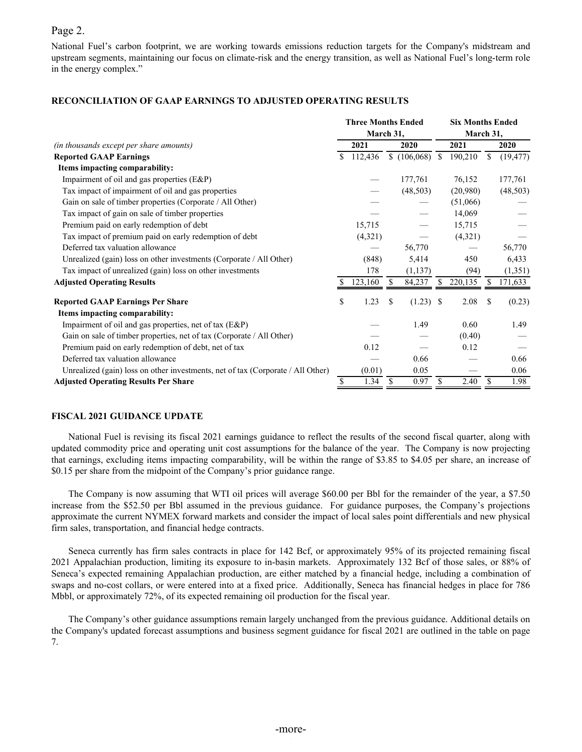## Page 2.

National Fuel's carbon footprint, we are working towards emissions reduction targets for the Company's midstream and upstream segments, maintaining our focus on climate-risk and the energy transition, as well as National Fuel's long-term role in the energy complex."

### **RECONCILIATION OF GAAP EARNINGS TO ADJUSTED OPERATING RESULTS**

|                                                                                 | <b>Three Months Ended</b> |           |     |           |    |          | <b>Six Months Ended</b> |           |  |  |  |
|---------------------------------------------------------------------------------|---------------------------|-----------|-----|-----------|----|----------|-------------------------|-----------|--|--|--|
|                                                                                 |                           | March 31, |     |           |    |          | March 31,               |           |  |  |  |
| (in thousands except per share amounts)                                         |                           | 2021      |     | 2020      |    | 2021     |                         | 2020      |  |  |  |
| <b>Reported GAAP Earnings</b>                                                   | S.                        | 112,436   |     |           |    | 190,210  | \$                      | (19, 477) |  |  |  |
| Items impacting comparability:                                                  |                           |           |     |           |    |          |                         |           |  |  |  |
| Impairment of oil and gas properties (E&P)                                      |                           |           |     | 177,761   |    | 76,152   |                         | 177,761   |  |  |  |
| Tax impact of impairment of oil and gas properties                              |                           |           |     | (48, 503) |    | (20,980) |                         | (48, 503) |  |  |  |
| Gain on sale of timber properties (Corporate / All Other)                       |                           |           |     |           |    | (51,066) |                         |           |  |  |  |
| Tax impact of gain on sale of timber properties                                 |                           |           |     |           |    | 14,069   |                         |           |  |  |  |
| Premium paid on early redemption of debt                                        |                           | 15,715    |     |           |    | 15,715   |                         |           |  |  |  |
| Tax impact of premium paid on early redemption of debt                          |                           | (4,321)   |     |           |    | (4,321)  |                         |           |  |  |  |
| Deferred tax valuation allowance                                                |                           |           |     | 56,770    |    |          |                         | 56,770    |  |  |  |
| Unrealized (gain) loss on other investments (Corporate / All Other)             |                           | (848)     |     | 5,414     |    | 450      |                         | 6,433     |  |  |  |
| Tax impact of unrealized (gain) loss on other investments                       |                           | 178       |     | (1, 137)  |    | (94)     |                         | (1,351)   |  |  |  |
| <b>Adjusted Operating Results</b>                                               |                           | 123,160   |     | 84,237    | S  | 220,135  | S                       | 171,633   |  |  |  |
| <b>Reported GAAP Earnings Per Share</b>                                         | \$                        | 1.23      | \$. | (1.23)    | -S | 2.08     | \$                      | (0.23)    |  |  |  |
| Items impacting comparability:                                                  |                           |           |     |           |    |          |                         |           |  |  |  |
| Impairment of oil and gas properties, net of tax (E&P)                          |                           |           |     | 1.49      |    | 0.60     |                         | 1.49      |  |  |  |
| Gain on sale of timber properties, net of tax (Corporate / All Other)           |                           |           |     |           |    | (0.40)   |                         |           |  |  |  |
| Premium paid on early redemption of debt, net of tax                            |                           | 0.12      |     |           |    | 0.12     |                         |           |  |  |  |
| Deferred tax valuation allowance                                                |                           |           |     | 0.66      |    |          |                         | 0.66      |  |  |  |
| Unrealized (gain) loss on other investments, net of tax (Corporate / All Other) |                           | (0.01)    |     | 0.05      |    |          |                         | 0.06      |  |  |  |
| <b>Adjusted Operating Results Per Share</b>                                     | \$                        | 1.34      | \$  | 0.97      | \$ | 2.40     | S                       | 1.98      |  |  |  |

### **FISCAL 2021 GUIDANCE UPDATE**

National Fuel is revising its fiscal 2021 earnings guidance to reflect the results of the second fiscal quarter, along with updated commodity price and operating unit cost assumptions for the balance of the year. The Company is now projecting that earnings, excluding items impacting comparability, will be within the range of \$3.85 to \$4.05 per share, an increase of \$0.15 per share from the midpoint of the Company's prior guidance range.

The Company is now assuming that WTI oil prices will average \$60.00 per Bbl for the remainder of the year, a \$7.50 increase from the \$52.50 per Bbl assumed in the previous guidance. For guidance purposes, the Company's projections approximate the current NYMEX forward markets and consider the impact of local sales point differentials and new physical firm sales, transportation, and financial hedge contracts.

Seneca currently has firm sales contracts in place for 142 Bcf, or approximately 95% of its projected remaining fiscal 2021 Appalachian production, limiting its exposure to in-basin markets. Approximately 132 Bcf of those sales, or 88% of Seneca's expected remaining Appalachian production, are either matched by a financial hedge, including a combination of swaps and no-cost collars, or were entered into at a fixed price. Additionally, Seneca has financial hedges in place for 786 Mbbl, or approximately 72%, of its expected remaining oil production for the fiscal year.

The Company's other guidance assumptions remain largely unchanged from the previous guidance. Additional details on the Company's updated forecast assumptions and business segment guidance for fiscal 2021 are outlined in the table on page 7.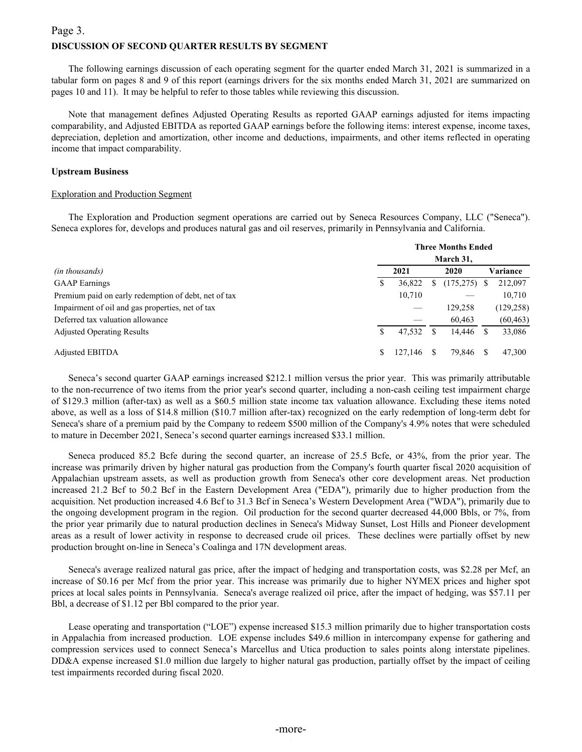## **DISCUSSION OF SECOND QUARTER RESULTS BY SEGMENT**  Page 3.

The following earnings discussion of each operating segment for the quarter ended March 31, 2021 is summarized in a tabular form on pages 8 and 9 of this report (earnings drivers for the six months ended March 31, 2021 are summarized on pages 10 and 11). It may be helpful to refer to those tables while reviewing this discussion.

Note that management defines Adjusted Operating Results as reported GAAP earnings adjusted for items impacting comparability, and Adjusted EBITDA as reported GAAP earnings before the following items: interest expense, income taxes, depreciation, depletion and amortization, other income and deductions, impairments, and other items reflected in operating income that impact comparability.

### **Upstream Business**

### Exploration and Production Segment

The Exploration and Production segment operations are carried out by Seneca Resources Company, LLC ("Seneca"). Seneca explores for, develops and produces natural gas and oil reserves, primarily in Pennsylvania and California.

|                                                      | <b>Three Months Ended</b><br>March 31, |         |   |            |  |            |  |  |  |  |  |
|------------------------------------------------------|----------------------------------------|---------|---|------------|--|------------|--|--|--|--|--|
| <i>(in thousands)</i>                                |                                        | 2021    |   | 2020       |  | Variance   |  |  |  |  |  |
| <b>GAAP</b> Earnings                                 | S                                      | 36,822  | У | (175, 275) |  | 212,097    |  |  |  |  |  |
| Premium paid on early redemption of debt, net of tax |                                        | 10,710  |   |            |  | 10,710     |  |  |  |  |  |
| Impairment of oil and gas properties, net of tax     |                                        |         |   | 129,258    |  | (129, 258) |  |  |  |  |  |
| Deferred tax valuation allowance                     |                                        |         |   | 60,463     |  | (60, 463)  |  |  |  |  |  |
| <b>Adjusted Operating Results</b>                    | S                                      | 47,532  |   | 14.446     |  | 33,086     |  |  |  |  |  |
| <b>Adjusted EBITDA</b>                               | \$                                     | 127.146 |   | 79.846     |  | 47.300     |  |  |  |  |  |

Seneca's second quarter GAAP earnings increased \$212.1 million versus the prior year. This was primarily attributable to the non-recurrence of two items from the prior year's second quarter, including a non-cash ceiling test impairment charge of \$129.3 million (after-tax) as well as a \$60.5 million state income tax valuation allowance. Excluding these items noted above, as well as a loss of \$14.8 million (\$10.7 million after-tax) recognized on the early redemption of long-term debt for Seneca's share of a premium paid by the Company to redeem \$500 million of the Company's 4.9% notes that were scheduled to mature in December 2021, Seneca's second quarter earnings increased \$33.1 million.

Seneca produced 85.2 Bcfe during the second quarter, an increase of 25.5 Bcfe, or 43%, from the prior year. The increase was primarily driven by higher natural gas production from the Company's fourth quarter fiscal 2020 acquisition of Appalachian upstream assets, as well as production growth from Seneca's other core development areas. Net production increased 21.2 Bcf to 50.2 Bcf in the Eastern Development Area ("EDA"), primarily due to higher production from the acquisition. Net production increased 4.6 Bcf to 31.3 Bcf in Seneca's Western Development Area ("WDA"), primarily due to the ongoing development program in the region. Oil production for the second quarter decreased 44,000 Bbls, or 7%, from the prior year primarily due to natural production declines in Seneca's Midway Sunset, Lost Hills and Pioneer development areas as a result of lower activity in response to decreased crude oil prices. These declines were partially offset by new production brought on-line in Seneca's Coalinga and 17N development areas.

Seneca's average realized natural gas price, after the impact of hedging and transportation costs, was \$2.28 per Mcf, an increase of \$0.16 per Mcf from the prior year. This increase was primarily due to higher NYMEX prices and higher spot prices at local sales points in Pennsylvania. Seneca's average realized oil price, after the impact of hedging, was \$57.11 per Bbl, a decrease of \$1.12 per Bbl compared to the prior year.

Lease operating and transportation ("LOE") expense increased \$15.3 million primarily due to higher transportation costs in Appalachia from increased production. LOE expense includes \$49.6 million in intercompany expense for gathering and compression services used to connect Seneca's Marcellus and Utica production to sales points along interstate pipelines. DD&A expense increased \$1.0 million due largely to higher natural gas production, partially offset by the impact of ceiling test impairments recorded during fiscal 2020.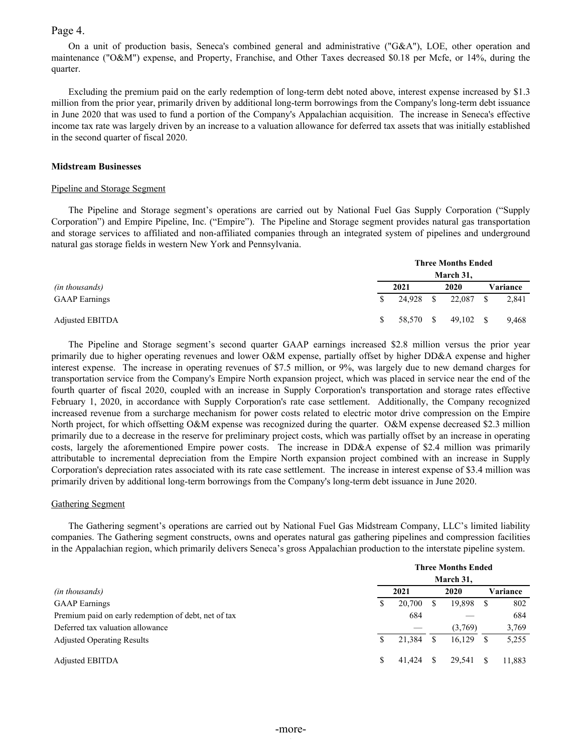### Page 4.

On a unit of production basis, Seneca's combined general and administrative ("G&A"), LOE, other operation and maintenance ("O&M") expense, and Property, Franchise, and Other Taxes decreased \$0.18 per Mcfe, or 14%, during the quarter.

Excluding the premium paid on the early redemption of long-term debt noted above, interest expense increased by \$1.3 million from the prior year, primarily driven by additional long-term borrowings from the Company's long-term debt issuance in June 2020 that was used to fund a portion of the Company's Appalachian acquisition. The increase in Seneca's effective income tax rate was largely driven by an increase to a valuation allowance for deferred tax assets that was initially established in the second quarter of fiscal 2020.

#### **Midstream Businesses**

#### Pipeline and Storage Segment

The Pipeline and Storage segment's operations are carried out by National Fuel Gas Supply Corporation ("Supply Corporation") and Empire Pipeline, Inc. ("Empire"). The Pipeline and Storage segment provides natural gas transportation and storage services to affiliated and non-affiliated companies through an integrated system of pipelines and underground natural gas storage fields in western New York and Pennsylvania.

|                      | <b>Three Months Ended</b> |           |  |             |          |       |  |  |  |  |  |  |
|----------------------|---------------------------|-----------|--|-------------|----------|-------|--|--|--|--|--|--|
|                      |                           |           |  | March 31,   |          |       |  |  |  |  |  |  |
| (in thousands)       |                           |           |  | 2020        | Variance |       |  |  |  |  |  |  |
| <b>GAAP</b> Earnings | <sup>S</sup>              | 24,928 \$ |  | 22.087 \$   |          | 2,841 |  |  |  |  |  |  |
| Adjusted EBITDA      | S.                        | 58,570 \$ |  | $49,102$ \$ |          | 9.468 |  |  |  |  |  |  |

The Pipeline and Storage segment's second quarter GAAP earnings increased \$2.8 million versus the prior year primarily due to higher operating revenues and lower O&M expense, partially offset by higher DD&A expense and higher interest expense. The increase in operating revenues of \$7.5 million, or 9%, was largely due to new demand charges for transportation service from the Company's Empire North expansion project, which was placed in service near the end of the fourth quarter of fiscal 2020, coupled with an increase in Supply Corporation's transportation and storage rates effective February 1, 2020, in accordance with Supply Corporation's rate case settlement. Additionally, the Company recognized increased revenue from a surcharge mechanism for power costs related to electric motor drive compression on the Empire North project, for which offsetting O&M expense was recognized during the quarter. O&M expense decreased \$2.3 million primarily due to a decrease in the reserve for preliminary project costs, which was partially offset by an increase in operating costs, largely the aforementioned Empire power costs. The increase in DD&A expense of \$2.4 million was primarily attributable to incremental depreciation from the Empire North expansion project combined with an increase in Supply Corporation's depreciation rates associated with its rate case settlement. The increase in interest expense of \$3.4 million was primarily driven by additional long-term borrowings from the Company's long-term debt issuance in June 2020.

### Gathering Segment

The Gathering segment's operations are carried out by National Fuel Gas Midstream Company, LLC's limited liability companies. The Gathering segment constructs, owns and operates natural gas gathering pipelines and compression facilities in the Appalachian region, which primarily delivers Seneca's gross Appalachian production to the interstate pipeline system.

|                                                      | <b>Three Months Ended</b> |        |     |         |    |          |  |  |  |  |  |  |  |
|------------------------------------------------------|---------------------------|--------|-----|---------|----|----------|--|--|--|--|--|--|--|
|                                                      | March 31,                 |        |     |         |    |          |  |  |  |  |  |  |  |
| (in thousands)                                       |                           | 2021   |     | 2020    |    | Variance |  |  |  |  |  |  |  |
| <b>GAAP</b> Earnings                                 | S                         | 20,700 | S   | 19,898  | S  | 802      |  |  |  |  |  |  |  |
| Premium paid on early redemption of debt, net of tax |                           | 684    |     |         |    | 684      |  |  |  |  |  |  |  |
| Deferred tax valuation allowance                     |                           |        |     | (3,769) |    | 3,769    |  |  |  |  |  |  |  |
| <b>Adjusted Operating Results</b>                    |                           | 21,384 | S   | 16.129  | S  | 5,255    |  |  |  |  |  |  |  |
| <b>Adjusted EBITDA</b>                               | S                         | 41.424 | \$. | 29.541  | S. | 11.883   |  |  |  |  |  |  |  |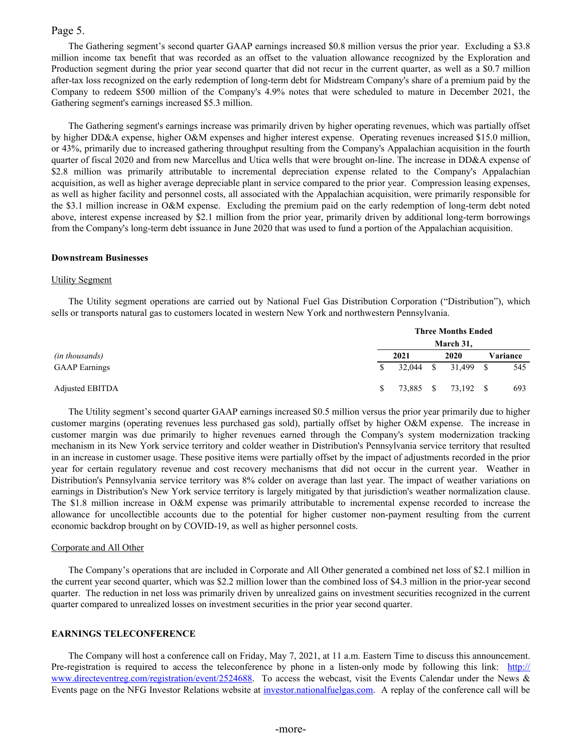### Page 5.

The Gathering segment's second quarter GAAP earnings increased \$0.8 million versus the prior year. Excluding a \$3.8 million income tax benefit that was recorded as an offset to the valuation allowance recognized by the Exploration and Production segment during the prior year second quarter that did not recur in the current quarter, as well as a \$0.7 million after-tax loss recognized on the early redemption of long-term debt for Midstream Company's share of a premium paid by the Company to redeem \$500 million of the Company's 4.9% notes that were scheduled to mature in December 2021, the Gathering segment's earnings increased \$5.3 million.

The Gathering segment's earnings increase was primarily driven by higher operating revenues, which was partially offset by higher DD&A expense, higher O&M expenses and higher interest expense. Operating revenues increased \$15.0 million, or 43%, primarily due to increased gathering throughput resulting from the Company's Appalachian acquisition in the fourth quarter of fiscal 2020 and from new Marcellus and Utica wells that were brought on-line. The increase in DD&A expense of \$2.8 million was primarily attributable to incremental depreciation expense related to the Company's Appalachian acquisition, as well as higher average depreciable plant in service compared to the prior year. Compression leasing expenses, as well as higher facility and personnel costs, all associated with the Appalachian acquisition, were primarily responsible for the \$3.1 million increase in O&M expense. Excluding the premium paid on the early redemption of long-term debt noted above, interest expense increased by \$2.1 million from the prior year, primarily driven by additional long-term borrowings from the Company's long-term debt issuance in June 2020 that was used to fund a portion of the Appalachian acquisition.

### **Downstream Businesses**

### Utility Segment

The Utility segment operations are carried out by National Fuel Gas Distribution Corporation ("Distribution"), which sells or transports natural gas to customers located in western New York and northwestern Pennsylvania.

|                      | <b>Three Months Ended</b> |             |  |                     |  |          |  |  |  |  |  |  |
|----------------------|---------------------------|-------------|--|---------------------|--|----------|--|--|--|--|--|--|
|                      |                           |             |  | March 31,           |  |          |  |  |  |  |  |  |
| (in thousands)       |                           | 2021        |  | 2020                |  | Variance |  |  |  |  |  |  |
| <b>GAAP</b> Earnings | S.                        | $32,044$ \$ |  | 31,499 \$           |  | 545      |  |  |  |  |  |  |
| Adjusted EBITDA      | S.                        |             |  | 73,885 \$ 73,192 \$ |  | 693      |  |  |  |  |  |  |

The Utility segment's second quarter GAAP earnings increased \$0.5 million versus the prior year primarily due to higher customer margins (operating revenues less purchased gas sold), partially offset by higher O&M expense. The increase in customer margin was due primarily to higher revenues earned through the Company's system modernization tracking mechanism in its New York service territory and colder weather in Distribution's Pennsylvania service territory that resulted in an increase in customer usage. These positive items were partially offset by the impact of adjustments recorded in the prior year for certain regulatory revenue and cost recovery mechanisms that did not occur in the current year. Weather in Distribution's Pennsylvania service territory was 8% colder on average than last year. The impact of weather variations on earnings in Distribution's New York service territory is largely mitigated by that jurisdiction's weather normalization clause. The \$1.8 million increase in O&M expense was primarily attributable to incremental expense recorded to increase the allowance for uncollectible accounts due to the potential for higher customer non-payment resulting from the current economic backdrop brought on by COVID-19, as well as higher personnel costs.

### Corporate and All Other

The Company's operations that are included in Corporate and All Other generated a combined net loss of \$2.1 million in the current year second quarter, which was \$2.2 million lower than the combined loss of \$4.3 million in the prior-year second quarter. The reduction in net loss was primarily driven by unrealized gains on investment securities recognized in the current quarter compared to unrealized losses on investment securities in the prior year second quarter.

### **EARNINGS TELECONFERENCE**

The Company will host a conference call on Friday, May 7, 2021, at 11 a.m. Eastern Time to discuss this announcement. Pre-registration is required to access the teleconference by phone in a listen-only mode by following this link: [http://](http://www.directeventreg.com/registration/event/2524688) [www.directeventreg.com/registration/event/2524688.](http://www.directeventreg.com/registration/event/2524688) To access the webcast, visit the Events Calendar under the News & Events page on the NFG Investor Relations website at [investor.nationalfuelgas.com.](https://investor.nationalfuelgas.com/news-and-events/events-calendar/default.aspx) A replay of the conference call will be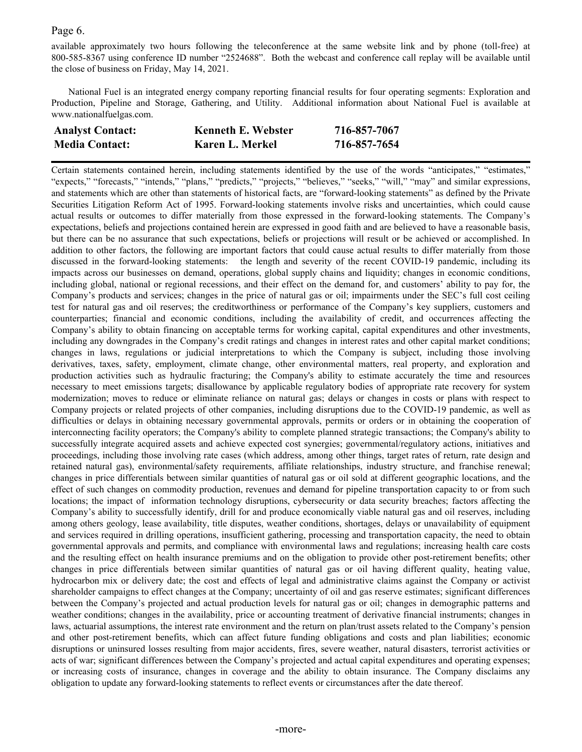## Page 6.

available approximately two hours following the teleconference at the same website link and by phone (toll-free) at 800-585-8367 using conference ID number "2524688". Both the webcast and conference call replay will be available until the close of business on Friday, May 14, 2021.

National Fuel is an integrated energy company reporting financial results for four operating segments: Exploration and Production, Pipeline and Storage, Gathering, and Utility. Additional information about National Fuel is available at www.nationalfuelgas.com.

| <b>Analyst Contact:</b> | <b>Kenneth E. Webster</b> | 716-857-7067 |
|-------------------------|---------------------------|--------------|
| <b>Media Contact:</b>   | Karen L. Merkel           | 716-857-7654 |

Certain statements contained herein, including statements identified by the use of the words "anticipates," "estimates," "expects," "forecasts," "intends," "plans," "predicts," "projects," "believes," "seeks," "will," "may" and similar expressions, and statements which are other than statements of historical facts, are "forward-looking statements" as defined by the Private Securities Litigation Reform Act of 1995. Forward-looking statements involve risks and uncertainties, which could cause actual results or outcomes to differ materially from those expressed in the forward-looking statements. The Company's expectations, beliefs and projections contained herein are expressed in good faith and are believed to have a reasonable basis, but there can be no assurance that such expectations, beliefs or projections will result or be achieved or accomplished. In addition to other factors, the following are important factors that could cause actual results to differ materially from those discussed in the forward-looking statements: the length and severity of the recent COVID-19 pandemic, including its impacts across our businesses on demand, operations, global supply chains and liquidity; changes in economic conditions, including global, national or regional recessions, and their effect on the demand for, and customers' ability to pay for, the Company's products and services; changes in the price of natural gas or oil; impairments under the SEC's full cost ceiling test for natural gas and oil reserves; the creditworthiness or performance of the Company's key suppliers, customers and counterparties; financial and economic conditions, including the availability of credit, and occurrences affecting the Company's ability to obtain financing on acceptable terms for working capital, capital expenditures and other investments, including any downgrades in the Company's credit ratings and changes in interest rates and other capital market conditions; changes in laws, regulations or judicial interpretations to which the Company is subject, including those involving derivatives, taxes, safety, employment, climate change, other environmental matters, real property, and exploration and production activities such as hydraulic fracturing; the Company's ability to estimate accurately the time and resources necessary to meet emissions targets; disallowance by applicable regulatory bodies of appropriate rate recovery for system modernization; moves to reduce or eliminate reliance on natural gas; delays or changes in costs or plans with respect to Company projects or related projects of other companies, including disruptions due to the COVID-19 pandemic, as well as difficulties or delays in obtaining necessary governmental approvals, permits or orders or in obtaining the cooperation of interconnecting facility operators; the Company's ability to complete planned strategic transactions; the Company's ability to successfully integrate acquired assets and achieve expected cost synergies; governmental/regulatory actions, initiatives and proceedings, including those involving rate cases (which address, among other things, target rates of return, rate design and retained natural gas), environmental/safety requirements, affiliate relationships, industry structure, and franchise renewal; changes in price differentials between similar quantities of natural gas or oil sold at different geographic locations, and the effect of such changes on commodity production, revenues and demand for pipeline transportation capacity to or from such locations; the impact of information technology disruptions, cybersecurity or data security breaches; factors affecting the Company's ability to successfully identify, drill for and produce economically viable natural gas and oil reserves, including among others geology, lease availability, title disputes, weather conditions, shortages, delays or unavailability of equipment and services required in drilling operations, insufficient gathering, processing and transportation capacity, the need to obtain governmental approvals and permits, and compliance with environmental laws and regulations; increasing health care costs and the resulting effect on health insurance premiums and on the obligation to provide other post-retirement benefits; other changes in price differentials between similar quantities of natural gas or oil having different quality, heating value, hydrocarbon mix or delivery date; the cost and effects of legal and administrative claims against the Company or activist shareholder campaigns to effect changes at the Company; uncertainty of oil and gas reserve estimates; significant differences between the Company's projected and actual production levels for natural gas or oil; changes in demographic patterns and weather conditions; changes in the availability, price or accounting treatment of derivative financial instruments; changes in laws, actuarial assumptions, the interest rate environment and the return on plan/trust assets related to the Company's pension and other post-retirement benefits, which can affect future funding obligations and costs and plan liabilities; economic disruptions or uninsured losses resulting from major accidents, fires, severe weather, natural disasters, terrorist activities or acts of war; significant differences between the Company's projected and actual capital expenditures and operating expenses; or increasing costs of insurance, changes in coverage and the ability to obtain insurance. The Company disclaims any obligation to update any forward-looking statements to reflect events or circumstances after the date thereof.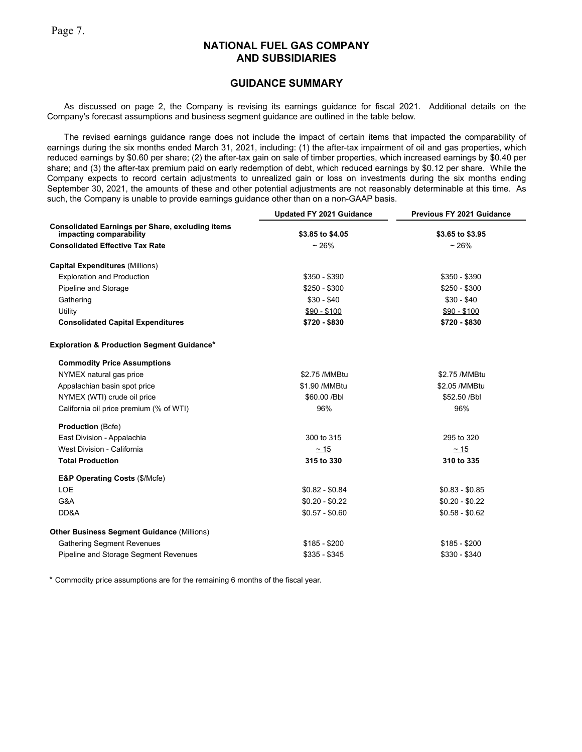## **GUIDANCE SUMMARY**

As discussed on page 2, the Company is revising its earnings guidance for fiscal 2021. Additional details on the Company's forecast assumptions and business segment guidance are outlined in the table below.

The revised earnings guidance range does not include the impact of certain items that impacted the comparability of earnings during the six months ended March 31, 2021, including: (1) the after-tax impairment of oil and gas properties, which reduced earnings by \$0.60 per share; (2) the after-tax gain on sale of timber properties, which increased earnings by \$0.40 per share; and (3) the after-tax premium paid on early redemption of debt, which reduced earnings by \$0.12 per share. While the Company expects to record certain adjustments to unrealized gain or loss on investments during the six months ending September 30, 2021, the amounts of these and other potential adjustments are not reasonably determinable at this time. As such, the Company is unable to provide earnings guidance other than on a non-GAAP basis.

|                                                                                    | <b>Updated FY 2021 Guidance</b> | Previous FY 2021 Guidance |
|------------------------------------------------------------------------------------|---------------------------------|---------------------------|
| <b>Consolidated Earnings per Share, excluding items</b><br>impacting comparability | \$3.85 to \$4.05                | \$3.65 to \$3.95          |
| <b>Consolidated Effective Tax Rate</b>                                             | ~26%                            | ~26%                      |
| <b>Capital Expenditures (Millions)</b>                                             |                                 |                           |
| <b>Exploration and Production</b>                                                  | $$350 - $390$                   | $$350 - $390$             |
| Pipeline and Storage                                                               | $$250 - $300$                   | $$250 - $300$             |
| Gathering                                                                          | $$30 - $40$                     | $$30 - $40$               |
| Utility                                                                            | $$90 - $100$                    | $$90 - $100$              |
| <b>Consolidated Capital Expenditures</b>                                           | \$720 - \$830                   | \$720 - \$830             |
| <b>Exploration &amp; Production Segment Guidance*</b>                              |                                 |                           |
| <b>Commodity Price Assumptions</b>                                                 |                                 |                           |
| NYMEX natural gas price                                                            | \$2.75 / MMBtu                  | \$2.75 / MMBtu            |
| Appalachian basin spot price                                                       | \$1.90 / MMBtu                  | \$2.05 / MMBtu            |
| NYMEX (WTI) crude oil price                                                        | \$60.00 / Bbl                   | \$52.50 /Bbl              |
| California oil price premium (% of WTI)                                            | 96%                             | 96%                       |
| <b>Production (Bcfe)</b>                                                           |                                 |                           |
| East Division - Appalachia                                                         | 300 to 315                      | 295 to 320                |
| West Division - California                                                         | $\sim$ 15                       | $\sim$ 15                 |
| <b>Total Production</b>                                                            | 315 to 330                      | 310 to 335                |
| <b>E&amp;P Operating Costs (\$/Mcfe)</b>                                           |                                 |                           |
| <b>LOE</b>                                                                         | $$0.82 - $0.84$                 | $$0.83 - $0.85$           |
| G&A                                                                                | $$0.20 - $0.22$                 | $$0.20 - $0.22$           |
| DD&A                                                                               | $$0.57 - $0.60$                 | $$0.58 - $0.62$           |
| <b>Other Business Segment Guidance (Millions)</b>                                  |                                 |                           |
| <b>Gathering Segment Revenues</b>                                                  | $$185 - $200$                   | $$185 - $200$             |
| Pipeline and Storage Segment Revenues                                              | $$335 - $345$                   | $$330 - $340$             |

\* Commodity price assumptions are for the remaining 6 months of the fiscal year.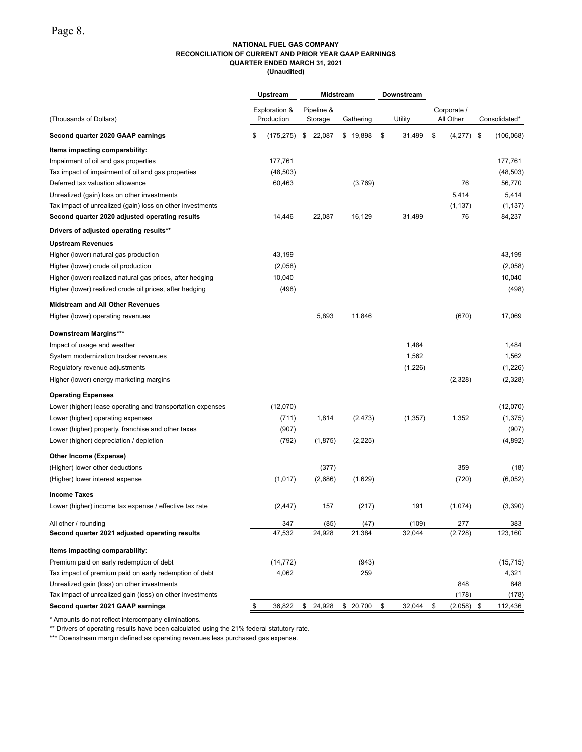#### **NATIONAL FUEL GAS COMPANY RECONCILIATION OF CURRENT AND PRIOR YEAR GAAP EARNINGS QUARTER ENDED MARCH 31, 2021 (Unaudited)**

|                                                            | Upstream                    |                       | Midstream | Downstream   |                          |                  |
|------------------------------------------------------------|-----------------------------|-----------------------|-----------|--------------|--------------------------|------------------|
| (Thousands of Dollars)                                     | Exploration &<br>Production | Pipeline &<br>Storage | Gathering | Utility      | Corporate /<br>All Other | Consolidated*    |
| Second quarter 2020 GAAP earnings                          | \$<br>(175, 275)            | 22,087<br>\$          | \$19,898  | \$<br>31,499 | \$<br>(4,277)            | \$<br>(106, 068) |
| Items impacting comparability:                             |                             |                       |           |              |                          |                  |
| Impairment of oil and gas properties                       | 177,761                     |                       |           |              |                          | 177,761          |
| Tax impact of impairment of oil and gas properties         | (48, 503)                   |                       |           |              |                          | (48, 503)        |
| Deferred tax valuation allowance                           | 60,463                      |                       | (3,769)   |              | 76                       | 56,770           |
| Unrealized (gain) loss on other investments                |                             |                       |           |              | 5,414                    | 5,414            |
| Tax impact of unrealized (gain) loss on other investments  |                             |                       |           |              | (1, 137)                 | (1, 137)         |
| Second quarter 2020 adjusted operating results             | 14,446                      | 22,087                | 16,129    | 31,499       | 76                       | 84,237           |
| Drivers of adjusted operating results**                    |                             |                       |           |              |                          |                  |
| <b>Upstream Revenues</b>                                   |                             |                       |           |              |                          |                  |
| Higher (lower) natural gas production                      | 43,199                      |                       |           |              |                          | 43,199           |
| Higher (lower) crude oil production                        | (2,058)                     |                       |           |              |                          | (2,058)          |
| Higher (lower) realized natural gas prices, after hedging  | 10,040                      |                       |           |              |                          | 10,040           |
| Higher (lower) realized crude oil prices, after hedging    | (498)                       |                       |           |              |                          | (498)            |
| <b>Midstream and All Other Revenues</b>                    |                             |                       |           |              |                          |                  |
| Higher (lower) operating revenues                          |                             | 5,893                 | 11,846    |              | (670)                    | 17,069           |
| Downstream Margins***                                      |                             |                       |           |              |                          |                  |
| Impact of usage and weather                                |                             |                       |           | 1,484        |                          | 1,484            |
| System modernization tracker revenues                      |                             |                       |           | 1,562        |                          | 1,562            |
| Regulatory revenue adjustments                             |                             |                       |           | (1,226)      |                          | (1,226)          |
| Higher (lower) energy marketing margins                    |                             |                       |           |              | (2,328)                  | (2,328)          |
| <b>Operating Expenses</b>                                  |                             |                       |           |              |                          |                  |
| Lower (higher) lease operating and transportation expenses | (12,070)                    |                       |           |              |                          | (12,070)         |
| Lower (higher) operating expenses                          | (711)                       | 1,814                 | (2, 473)  | (1, 357)     | 1,352                    | (1, 375)         |
| Lower (higher) property, franchise and other taxes         | (907)                       |                       |           |              |                          | (907)            |
| Lower (higher) depreciation / depletion                    | (792)                       | (1,875)               | (2, 225)  |              |                          | (4,892)          |
| Other Income (Expense)                                     |                             |                       |           |              |                          |                  |
| (Higher) lower other deductions                            |                             | (377)                 |           |              | 359                      | (18)             |
| (Higher) lower interest expense                            | (1,017)                     | (2,686)               | (1,629)   |              | (720)                    | (6,052)          |
| <b>Income Taxes</b>                                        |                             |                       |           |              |                          |                  |
| Lower (higher) income tax expense / effective tax rate     | (2, 447)                    | 157                   | (217)     | 191          | (1,074)                  | (3,390)          |
| All other / rounding                                       | 347                         | (85)                  | (47)      | (109)        | 277                      | 383              |
| Second quarter 2021 adjusted operating results             | 47,532                      | 24,928                | 21,384    | 32,044       | (2, 728)                 | 123,160          |
| Items impacting comparability:                             |                             |                       |           |              |                          |                  |
| Premium paid on early redemption of debt                   | (14, 772)                   |                       | (943)     |              |                          | (15, 715)        |
| Tax impact of premium paid on early redemption of debt     | 4,062                       |                       | 259       |              |                          | 4,321            |
| Unrealized gain (loss) on other investments                |                             |                       |           |              | 848                      | 848              |
| Tax impact of unrealized gain (loss) on other investments  |                             |                       |           |              | (178)                    | (178)            |
| Second quarter 2021 GAAP earnings                          | 36,822                      | \$<br>24,928          | \$ 20,700 | \$<br>32,044 | \$<br>(2,058)            | \$<br>112,436    |

\* Amounts do not reflect intercompany eliminations.

\*\* Drivers of operating results have been calculated using the 21% federal statutory rate.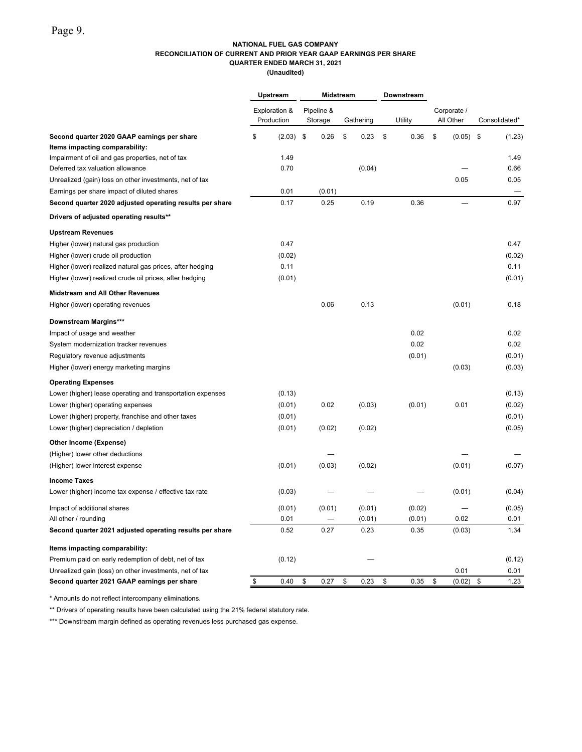### **NATIONAL FUEL GAS COMPANY RECONCILIATION OF CURRENT AND PRIOR YEAR GAAP EARNINGS PER SHARE QUARTER ENDED MARCH 31, 2021**

**(Unaudited)**

|                                                            | Upstream<br>Exploration &<br>Production |        | Midstream |                       |           |        | Downstream |                          |             |               |
|------------------------------------------------------------|-----------------------------------------|--------|-----------|-----------------------|-----------|--------|------------|--------------------------|-------------|---------------|
|                                                            |                                         |        |           | Pipeline &<br>Storage | Gathering |        | Utility    | Corporate /<br>All Other |             | Consolidated* |
| Second quarter 2020 GAAP earnings per share                | \$                                      | (2.03) | \$        | 0.26                  | \$        | 0.23   | \$<br>0.36 | \$                       | $(0.05)$ \$ | (1.23)        |
| Items impacting comparability:                             |                                         |        |           |                       |           |        |            |                          |             |               |
| Impairment of oil and gas properties, net of tax           |                                         | 1.49   |           |                       |           |        |            |                          |             | 1.49          |
| Deferred tax valuation allowance                           |                                         | 0.70   |           |                       |           | (0.04) |            |                          |             | 0.66          |
| Unrealized (gain) loss on other investments, net of tax    |                                         |        |           |                       |           |        |            |                          | 0.05        | 0.05          |
| Earnings per share impact of diluted shares                |                                         | 0.01   |           | (0.01)                |           |        |            |                          |             |               |
| Second quarter 2020 adjusted operating results per share   |                                         | 0.17   |           | 0.25                  |           | 0.19   | 0.36       |                          |             | 0.97          |
| Drivers of adjusted operating results**                    |                                         |        |           |                       |           |        |            |                          |             |               |
| <b>Upstream Revenues</b>                                   |                                         |        |           |                       |           |        |            |                          |             |               |
| Higher (lower) natural gas production                      |                                         | 0.47   |           |                       |           |        |            |                          |             | 0.47          |
| Higher (lower) crude oil production                        |                                         | (0.02) |           |                       |           |        |            |                          |             | (0.02)        |
| Higher (lower) realized natural gas prices, after hedging  |                                         | 0.11   |           |                       |           |        |            |                          |             | 0.11          |
| Higher (lower) realized crude oil prices, after hedging    |                                         | (0.01) |           |                       |           |        |            |                          |             | (0.01)        |
| <b>Midstream and All Other Revenues</b>                    |                                         |        |           |                       |           |        |            |                          |             |               |
| Higher (lower) operating revenues                          |                                         |        |           | 0.06                  |           | 0.13   |            |                          | (0.01)      | 0.18          |
| Downstream Margins***                                      |                                         |        |           |                       |           |        |            |                          |             |               |
| Impact of usage and weather                                |                                         |        |           |                       |           |        | 0.02       |                          |             | 0.02          |
| System modernization tracker revenues                      |                                         |        |           |                       |           |        | 0.02       |                          |             | 0.02          |
| Regulatory revenue adjustments                             |                                         |        |           |                       |           |        | (0.01)     |                          |             | (0.01)        |
| Higher (lower) energy marketing margins                    |                                         |        |           |                       |           |        |            |                          | (0.03)      | (0.03)        |
| <b>Operating Expenses</b>                                  |                                         |        |           |                       |           |        |            |                          |             |               |
| Lower (higher) lease operating and transportation expenses |                                         | (0.13) |           |                       |           |        |            |                          |             | (0.13)        |
| Lower (higher) operating expenses                          |                                         | (0.01) |           | 0.02                  |           | (0.03) | (0.01)     |                          | 0.01        | (0.02)        |
| Lower (higher) property, franchise and other taxes         |                                         | (0.01) |           |                       |           |        |            |                          |             | (0.01)        |
| Lower (higher) depreciation / depletion                    |                                         | (0.01) |           | (0.02)                |           | (0.02) |            |                          |             | (0.05)        |
| Other Income (Expense)                                     |                                         |        |           |                       |           |        |            |                          |             |               |
| (Higher) lower other deductions                            |                                         |        |           |                       |           |        |            |                          |             |               |
| (Higher) lower interest expense                            |                                         | (0.01) |           | (0.03)                |           | (0.02) |            |                          | (0.01)      | (0.07)        |
| <b>Income Taxes</b>                                        |                                         |        |           |                       |           |        |            |                          |             |               |
| Lower (higher) income tax expense / effective tax rate     |                                         | (0.03) |           |                       |           |        |            |                          | (0.01)      | (0.04)        |
| Impact of additional shares                                |                                         | (0.01) |           | (0.01)                |           | (0.01) | (0.02)     |                          |             | (0.05)        |
| All other / rounding                                       |                                         | 0.01   |           |                       |           | (0.01) | (0.01)     |                          | 0.02        | 0.01          |
| Second quarter 2021 adjusted operating results per share   |                                         | 0.52   |           | 0.27                  |           | 0.23   | 0.35       |                          | (0.03)      | 1.34          |
| Items impacting comparability:                             |                                         |        |           |                       |           |        |            |                          |             |               |
| Premium paid on early redemption of debt, net of tax       |                                         | (0.12) |           |                       |           |        |            |                          |             | (0.12)        |
| Unrealized gain (loss) on other investments, net of tax    |                                         |        |           |                       |           |        |            |                          | 0.01        | 0.01          |
| Second quarter 2021 GAAP earnings per share                | \$                                      | 0.40   | \$        | 0.27                  | \$        | 0.23   | \$<br>0.35 | \$                       | (0.02)      | \$<br>1.23    |

\* Amounts do not reflect intercompany eliminations.

\*\* Drivers of operating results have been calculated using the 21% federal statutory rate.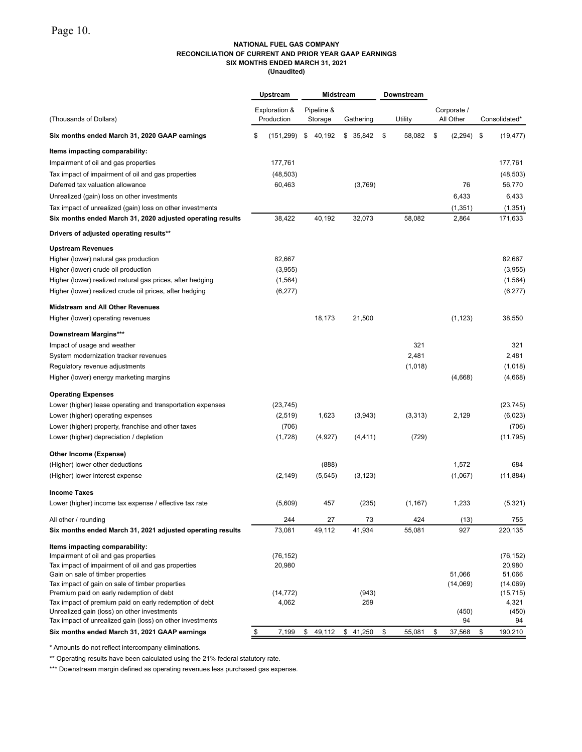## **NATIONAL FUEL GAS COMPANY RECONCILIATION OF CURRENT AND PRIOR YEAR GAAP EARNINGS SIX MONTHS ENDED MARCH 31, 2021**

**(Unaudited)**

|                                                                                         | Upstream         | Midstream    |           | Downstream   |                |                  |
|-----------------------------------------------------------------------------------------|------------------|--------------|-----------|--------------|----------------|------------------|
|                                                                                         | Exploration &    | Pipeline &   |           |              | Corporate /    |                  |
| (Thousands of Dollars)                                                                  | Production       | Storage      | Gathering | Utility      | All Other      | Consolidated*    |
| Six months ended March 31, 2020 GAAP earnings                                           | \$<br>(151, 299) | \$<br>40,192 | \$ 35,842 | \$<br>58,082 | \$<br>(2, 294) | \$<br>(19, 477)  |
| Items impacting comparability:                                                          |                  |              |           |              |                |                  |
| Impairment of oil and gas properties                                                    | 177,761          |              |           |              |                | 177,761          |
| Tax impact of impairment of oil and gas properties                                      | (48, 503)        |              |           |              |                | (48, 503)        |
| Deferred tax valuation allowance                                                        | 60,463           |              | (3,769)   |              | 76             | 56,770           |
| Unrealized (gain) loss on other investments                                             |                  |              |           |              | 6,433          | 6,433            |
| Tax impact of unrealized (gain) loss on other investments                               |                  |              |           |              | (1, 351)       | (1, 351)         |
| Six months ended March 31, 2020 adjusted operating results                              | 38,422           | 40,192       | 32,073    | 58,082       | 2,864          | 171,633          |
| Drivers of adjusted operating results**                                                 |                  |              |           |              |                |                  |
| <b>Upstream Revenues</b>                                                                |                  |              |           |              |                |                  |
| Higher (lower) natural gas production                                                   | 82,667           |              |           |              |                | 82,667           |
| Higher (lower) crude oil production                                                     | (3,955)          |              |           |              |                | (3,955)          |
| Higher (lower) realized natural gas prices, after hedging                               | (1, 564)         |              |           |              |                | (1, 564)         |
| Higher (lower) realized crude oil prices, after hedging                                 | (6, 277)         |              |           |              |                | (6, 277)         |
| <b>Midstream and All Other Revenues</b>                                                 |                  |              |           |              |                |                  |
| Higher (lower) operating revenues                                                       |                  | 18,173       | 21,500    |              | (1, 123)       | 38,550           |
| Downstream Margins***                                                                   |                  |              |           |              |                |                  |
| Impact of usage and weather                                                             |                  |              |           | 321          |                | 321              |
| System modernization tracker revenues                                                   |                  |              |           | 2,481        |                | 2,481            |
| Regulatory revenue adjustments                                                          |                  |              |           | (1,018)      |                | (1,018)          |
| Higher (lower) energy marketing margins                                                 |                  |              |           |              | (4,668)        | (4,668)          |
| <b>Operating Expenses</b>                                                               |                  |              |           |              |                |                  |
| Lower (higher) lease operating and transportation expenses                              | (23, 745)        |              |           |              |                | (23, 745)        |
| Lower (higher) operating expenses                                                       | (2, 519)         | 1,623        | (3,943)   | (3, 313)     | 2,129          | (6,023)          |
| Lower (higher) property, franchise and other taxes                                      | (706)            |              |           |              |                | (706)            |
| Lower (higher) depreciation / depletion                                                 | (1,728)          | (4, 927)     | (4, 411)  | (729)        |                | (11, 795)        |
| Other Income (Expense)                                                                  |                  |              |           |              |                |                  |
| (Higher) lower other deductions                                                         |                  | (888)        |           |              | 1,572          | 684              |
| (Higher) lower interest expense                                                         | (2, 149)         | (5, 545)     | (3, 123)  |              | (1,067)        | (11, 884)        |
| <b>Income Taxes</b>                                                                     |                  |              |           |              |                |                  |
| Lower (higher) income tax expense / effective tax rate                                  | (5,609)          | 457          | (235)     | (1, 167)     | 1,233          | (5,321)          |
| All other / rounding                                                                    | 244              | 27           | 73        | 424          | (13)           | 755              |
| Six months ended March 31, 2021 adjusted operating results                              | 73,081           | 49,112       | 41,934    | 55,081       | 927            | 220,135          |
| Items impacting comparability:                                                          |                  |              |           |              |                |                  |
| Impairment of oil and gas properties                                                    | (76, 152)        |              |           |              |                | (76, 152)        |
| Tax impact of impairment of oil and gas properties<br>Gain on sale of timber properties | 20,980           |              |           |              | 51,066         | 20,980<br>51,066 |
| Tax impact of gain on sale of timber properties                                         |                  |              |           |              | (14,069)       | (14,069)         |
| Premium paid on early redemption of debt                                                | (14, 772)        |              | (943)     |              |                | (15, 715)        |
| Tax impact of premium paid on early redemption of debt                                  | 4,062            |              | 259       |              |                | 4,321            |
| Unrealized gain (loss) on other investments                                             |                  |              |           |              | (450)          | (450)            |
| Tax impact of unrealized gain (loss) on other investments                               |                  |              |           |              | 94             | 94               |
| Six months ended March 31, 2021 GAAP earnings                                           | \$<br>7,199      | \$<br>49,112 | \$41,250  | \$<br>55,081 | \$<br>37,568   | \$<br>190,210    |

\* Amounts do not reflect intercompany eliminations.

\*\* Operating results have been calculated using the 21% federal statutory rate.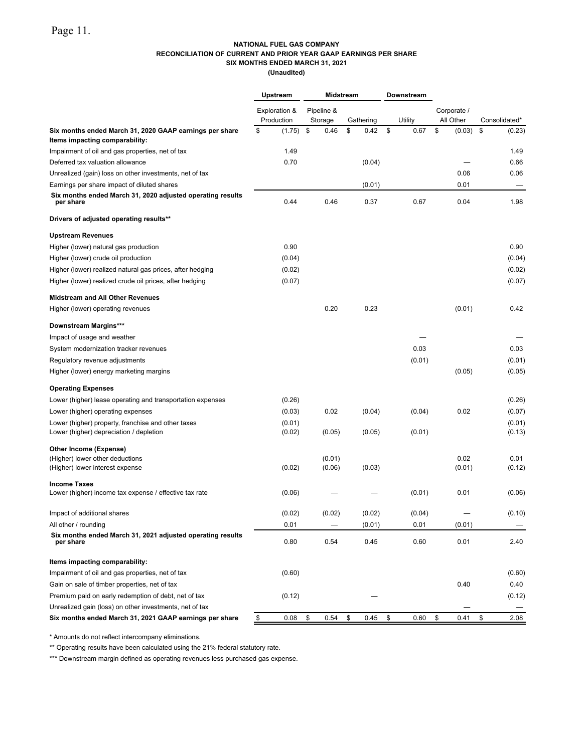### **NATIONAL FUEL GAS COMPANY RECONCILIATION OF CURRENT AND PRIOR YEAR GAAP EARNINGS PER SHARE SIX MONTHS ENDED MARCH 31, 2021**

**(Unaudited)**

|                                                                                               | Upstream                    |                  | <b>Midstream</b>      |            | Downstream |                          |                  |
|-----------------------------------------------------------------------------------------------|-----------------------------|------------------|-----------------------|------------|------------|--------------------------|------------------|
|                                                                                               | Exploration &<br>Production |                  | Pipeline &<br>Storage | Gathering  | Utility    | Corporate /<br>All Other | Consolidated*    |
| Six months ended March 31, 2020 GAAP earnings per share<br>Items impacting comparability:     | \$                          | (1.75)           | \$<br>0.46            | \$<br>0.42 | \$<br>0.67 | \$<br>(0.03)             | \$<br>(0.23)     |
| Impairment of oil and gas properties, net of tax                                              |                             | 1.49             |                       |            |            |                          | 1.49             |
| Deferred tax valuation allowance                                                              |                             | 0.70             |                       | (0.04)     |            |                          | 0.66             |
| Unrealized (gain) loss on other investments, net of tax                                       |                             |                  |                       |            |            | 0.06                     | 0.06             |
| Earnings per share impact of diluted shares                                                   |                             |                  |                       | (0.01)     |            | 0.01                     |                  |
| Six months ended March 31, 2020 adjusted operating results<br>per share                       |                             | 0.44             | 0.46                  | 0.37       | 0.67       | 0.04                     | 1.98             |
| Drivers of adjusted operating results**                                                       |                             |                  |                       |            |            |                          |                  |
| <b>Upstream Revenues</b>                                                                      |                             |                  |                       |            |            |                          |                  |
| Higher (lower) natural gas production                                                         |                             | 0.90             |                       |            |            |                          | 0.90             |
| Higher (lower) crude oil production                                                           |                             | (0.04)           |                       |            |            |                          | (0.04)           |
| Higher (lower) realized natural gas prices, after hedging                                     |                             | (0.02)           |                       |            |            |                          | (0.02)           |
| Higher (lower) realized crude oil prices, after hedging                                       |                             | (0.07)           |                       |            |            |                          | (0.07)           |
| <b>Midstream and All Other Revenues</b>                                                       |                             |                  |                       |            |            |                          |                  |
| Higher (lower) operating revenues                                                             |                             |                  | 0.20                  | 0.23       |            | (0.01)                   | 0.42             |
| Downstream Margins***                                                                         |                             |                  |                       |            |            |                          |                  |
| Impact of usage and weather                                                                   |                             |                  |                       |            |            |                          |                  |
| System modernization tracker revenues                                                         |                             |                  |                       |            | 0.03       |                          | 0.03             |
| Regulatory revenue adjustments                                                                |                             |                  |                       |            | (0.01)     |                          | (0.01)           |
| Higher (lower) energy marketing margins                                                       |                             |                  |                       |            |            | (0.05)                   | (0.05)           |
| <b>Operating Expenses</b>                                                                     |                             |                  |                       |            |            |                          |                  |
| Lower (higher) lease operating and transportation expenses                                    |                             | (0.26)           |                       |            |            |                          | (0.26)           |
| Lower (higher) operating expenses                                                             |                             | (0.03)           | 0.02                  | (0.04)     | (0.04)     | 0.02                     | (0.07)           |
| Lower (higher) property, franchise and other taxes<br>Lower (higher) depreciation / depletion |                             | (0.01)<br>(0.02) | (0.05)                | (0.05)     | (0.01)     |                          | (0.01)<br>(0.13) |
| Other Income (Expense)                                                                        |                             |                  |                       |            |            |                          |                  |
| (Higher) lower other deductions                                                               |                             |                  | (0.01)                |            |            | 0.02                     | 0.01             |
| (Higher) lower interest expense                                                               |                             | (0.02)           | (0.06)                | (0.03)     |            | (0.01)                   | (0.12)           |
| <b>Income Taxes</b><br>Lower (higher) income tax expense / effective tax rate                 |                             | (0.06)           |                       |            | (0.01)     | 0.01                     | (0.06)           |
|                                                                                               |                             |                  |                       |            |            |                          |                  |
| Impact of additional shares                                                                   |                             | (0.02)           | (0.02)                | (0.02)     | (0.04)     |                          | (0.10)           |
| All other / rounding                                                                          |                             | 0.01             |                       | (0.01)     | 0.01       | (0.01)                   |                  |
| Six months ended March 31, 2021 adjusted operating results<br>per share                       |                             | 0.80             | 0.54                  | 0.45       | 0.60       | 0.01                     | 2.40             |
| Items impacting comparability:                                                                |                             |                  |                       |            |            |                          |                  |
| Impairment of oil and gas properties, net of tax                                              |                             | (0.60)           |                       |            |            |                          | (0.60)           |
| Gain on sale of timber properties, net of tax                                                 |                             |                  |                       |            |            | 0.40                     | 0.40             |
| Premium paid on early redemption of debt, net of tax                                          |                             | (0.12)           |                       |            |            |                          | (0.12)           |
| Unrealized gain (loss) on other investments, net of tax                                       |                             |                  |                       |            |            |                          |                  |
| Six months ended March 31, 2021 GAAP earnings per share                                       | \$                          | 0.08             | \$<br>0.54            | \$<br>0.45 | \$<br>0.60 | \$<br>0.41               | \$<br>2.08       |

\* Amounts do not reflect intercompany eliminations.

\*\* Operating results have been calculated using the 21% federal statutory rate.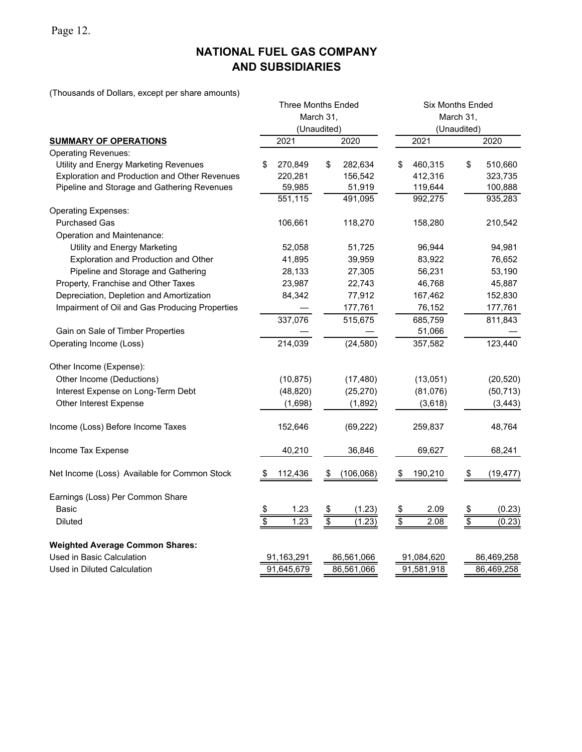Page 12.

# **NATIONAL FUEL GAS COMPANY AND SUBSIDIARIES**

(Thousands of Dollars, except per share amounts)

|                                                |             | <b>Three Months Ended</b> |             |            | <b>Six Months Ended</b>  |            |                 |            |  |  |  |  |  |
|------------------------------------------------|-------------|---------------------------|-------------|------------|--------------------------|------------|-----------------|------------|--|--|--|--|--|
|                                                |             |                           | March 31,   |            | March 31,<br>(Unaudited) |            |                 |            |  |  |  |  |  |
|                                                |             | (Unaudited)               |             |            |                          |            |                 |            |  |  |  |  |  |
| <b>SUMMARY OF OPERATIONS</b>                   |             | 2021                      |             | 2020       |                          | 2021       |                 | 2020       |  |  |  |  |  |
| <b>Operating Revenues:</b>                     |             |                           |             |            |                          |            |                 |            |  |  |  |  |  |
| Utility and Energy Marketing Revenues          | \$          | 270,849                   | \$          | 282,634    | \$                       | 460,315    | \$              | 510,660    |  |  |  |  |  |
| Exploration and Production and Other Revenues  |             | 220,281                   |             | 156,542    |                          | 412,316    |                 | 323,735    |  |  |  |  |  |
| Pipeline and Storage and Gathering Revenues    |             | 59,985                    |             | 51,919     |                          | 119,644    |                 | 100,888    |  |  |  |  |  |
|                                                |             | 551,115                   |             | 491,095    |                          | 992,275    |                 | 935,283    |  |  |  |  |  |
| <b>Operating Expenses:</b>                     |             |                           |             |            |                          |            |                 |            |  |  |  |  |  |
| <b>Purchased Gas</b>                           |             | 106,661                   |             | 118,270    |                          | 158,280    |                 | 210,542    |  |  |  |  |  |
| Operation and Maintenance:                     |             |                           |             |            |                          |            |                 |            |  |  |  |  |  |
| Utility and Energy Marketing                   |             | 52,058                    |             | 51,725     |                          | 96,944     |                 | 94,981     |  |  |  |  |  |
| Exploration and Production and Other           |             | 41,895                    |             | 39,959     |                          | 83,922     |                 | 76,652     |  |  |  |  |  |
| Pipeline and Storage and Gathering             |             | 28,133                    |             | 27,305     |                          | 56,231     |                 | 53,190     |  |  |  |  |  |
| Property, Franchise and Other Taxes            |             | 23,987                    |             | 22,743     |                          | 46,768     |                 | 45,887     |  |  |  |  |  |
| Depreciation, Depletion and Amortization       |             | 84,342                    |             | 77,912     |                          | 167,462    |                 | 152,830    |  |  |  |  |  |
| Impairment of Oil and Gas Producing Properties |             |                           |             | 177,761    |                          | 76,152     |                 | 177,761    |  |  |  |  |  |
|                                                |             | 337,076                   |             | 515,675    |                          | 685,759    |                 | 811,843    |  |  |  |  |  |
| Gain on Sale of Timber Properties              |             |                           |             |            |                          | 51,066     |                 |            |  |  |  |  |  |
| Operating Income (Loss)                        |             | 214,039                   |             | (24, 580)  |                          | 357,582    |                 | 123,440    |  |  |  |  |  |
| Other Income (Expense):                        |             |                           |             |            |                          |            |                 |            |  |  |  |  |  |
| Other Income (Deductions)                      |             | (10, 875)                 |             | (17, 480)  |                          | (13,051)   |                 | (20, 520)  |  |  |  |  |  |
| Interest Expense on Long-Term Debt             |             | (48, 820)                 |             | (25, 270)  |                          | (81,076)   |                 | (50, 713)  |  |  |  |  |  |
| Other Interest Expense                         |             | (1,698)                   |             | (1,892)    |                          | (3,618)    |                 | (3, 443)   |  |  |  |  |  |
| Income (Loss) Before Income Taxes              |             | 152,646                   |             | (69, 222)  |                          | 259,837    |                 | 48,764     |  |  |  |  |  |
| Income Tax Expense                             |             | 40,210                    |             | 36,846     |                          | 69,627     |                 | 68,241     |  |  |  |  |  |
| Net Income (Loss) Available for Common Stock   |             | 112,436                   | \$          | (106, 068) |                          | 190,210    | \$              | (19, 477)  |  |  |  |  |  |
| Earnings (Loss) Per Common Share               |             |                           |             |            |                          |            |                 |            |  |  |  |  |  |
| <b>Basic</b>                                   | $rac{1}{3}$ | 1.23                      | $rac{1}{2}$ | (1.23)     | $\frac{\$}{\$}$          | 2.09       | $\frac{\$}{\$}$ | (0.23)     |  |  |  |  |  |
| <b>Diluted</b>                                 |             | 1.23                      |             | (1.23)     |                          | 2.08       |                 | (0.23)     |  |  |  |  |  |
| <b>Weighted Average Common Shares:</b>         |             |                           |             |            |                          |            |                 |            |  |  |  |  |  |
| Used in Basic Calculation                      |             | 91,163,291                |             | 86,561,066 |                          | 91,084,620 |                 | 86,469,258 |  |  |  |  |  |
| Used in Diluted Calculation                    |             | 91,645,679                |             | 86,561,066 |                          | 91,581,918 |                 | 86,469,258 |  |  |  |  |  |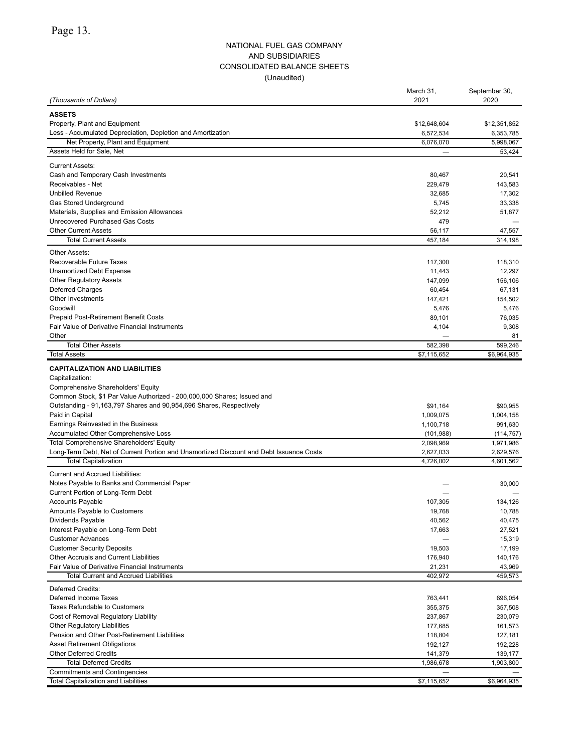### NATIONAL FUEL GAS COMPANY AND SUBSIDIARIES CONSOLIDATED BALANCE SHEETS (Unaudited)

|                                                                                         | March 31,                | September 30, |
|-----------------------------------------------------------------------------------------|--------------------------|---------------|
| (Thousands of Dollars)                                                                  | 2021                     | 2020          |
| <b>ASSETS</b>                                                                           |                          |               |
| Property, Plant and Equipment                                                           | \$12,648,604             | \$12,351,852  |
| Less - Accumulated Depreciation, Depletion and Amortization                             | 6,572,534                | 6,353,785     |
| Net Property, Plant and Equipment                                                       | 6,076,070                | 5,998,067     |
| Assets Held for Sale, Net                                                               |                          | 53,424        |
| <b>Current Assets:</b>                                                                  |                          |               |
| Cash and Temporary Cash Investments                                                     | 80,467                   | 20,541        |
| Receivables - Net                                                                       | 229,479                  | 143,583       |
| <b>Unbilled Revenue</b>                                                                 | 32,685                   | 17,302        |
| Gas Stored Underground                                                                  | 5,745                    | 33,338        |
| Materials, Supplies and Emission Allowances                                             | 52,212                   | 51,877        |
| Unrecovered Purchased Gas Costs                                                         | 479                      |               |
| <b>Other Current Assets</b>                                                             | 56,117                   | 47,557        |
| <b>Total Current Assets</b>                                                             | 457,184                  | 314,198       |
| Other Assets:                                                                           |                          |               |
| Recoverable Future Taxes                                                                | 117,300                  | 118,310       |
| Unamortized Debt Expense                                                                | 11,443                   | 12,297        |
| <b>Other Regulatory Assets</b>                                                          | 147,099                  | 156,106       |
| Deferred Charges                                                                        | 60,454                   | 67,131        |
| Other Investments                                                                       | 147,421                  | 154,502       |
| Goodwill                                                                                | 5,476                    | 5,476         |
| Prepaid Post-Retirement Benefit Costs                                                   | 89,101                   | 76,035        |
| Fair Value of Derivative Financial Instruments                                          | 4,104                    | 9,308         |
| Other                                                                                   |                          | 81            |
| <b>Total Other Assets</b>                                                               | 582,398                  | 599,246       |
| <b>Total Assets</b>                                                                     | \$7,115,652              | \$6,964,935   |
|                                                                                         |                          |               |
| <b>CAPITALIZATION AND LIABILITIES</b>                                                   |                          |               |
| Capitalization:                                                                         |                          |               |
| Comprehensive Shareholders' Equity                                                      |                          |               |
| Common Stock, \$1 Par Value Authorized - 200,000,000 Shares; Issued and                 |                          |               |
| Outstanding - 91,163,797 Shares and 90,954,696 Shares, Respectively                     | \$91,164                 | \$90,955      |
| Paid in Capital                                                                         | 1,009,075                | 1,004,158     |
| Earnings Reinvested in the Business                                                     | 1,100,718                | 991,630       |
| Accumulated Other Comprehensive Loss                                                    | (101, 988)               | (114, 757)    |
| <b>Total Comprehensive Shareholders' Equity</b>                                         | 2,098,969                | 1,971,986     |
| Long-Term Debt, Net of Current Portion and Unamortized Discount and Debt Issuance Costs | 2,627,033                | 2,629,576     |
| <b>Total Capitalization</b>                                                             | 4,726,002                | 4,601,562     |
| <b>Current and Accrued Liabilities:</b>                                                 |                          |               |
| Notes Payable to Banks and Commercial Paper                                             |                          | 30,000        |
| Current Portion of Long-Term Debt                                                       |                          |               |
| <b>Accounts Payable</b>                                                                 | 107,305                  | 134,126       |
| Amounts Payable to Customers                                                            | 19,768                   | 10,788        |
| Dividends Payable                                                                       | 40,562                   | 40,475        |
| Interest Payable on Long-Term Debt                                                      | 17,663                   | 27,521        |
| <b>Customer Advances</b>                                                                |                          | 15,319        |
| <b>Customer Security Deposits</b>                                                       | 19,503                   | 17,199        |
| Other Accruals and Current Liabilities                                                  | 176,940                  | 140,176       |
| Fair Value of Derivative Financial Instruments                                          | 21,231                   | 43,969        |
| <b>Total Current and Accrued Liabilities</b>                                            | 402,972                  | 459,573       |
| Deferred Credits:                                                                       |                          |               |
| Deferred Income Taxes                                                                   | 763,441                  | 696,054       |
| Taxes Refundable to Customers                                                           | 355,375                  | 357,508       |
| Cost of Removal Regulatory Liability                                                    | 237,867                  | 230,079       |
| Other Regulatory Liabilities                                                            | 177,685                  | 161,573       |
| Pension and Other Post-Retirement Liabilities                                           | 118,804                  | 127,181       |
| <b>Asset Retirement Obligations</b>                                                     | 192,127                  | 192,228       |
| <b>Other Deferred Credits</b>                                                           | 141,379                  | 139,177       |
| <b>Total Deferred Credits</b>                                                           | 1,986,678                | 1,903,800     |
| <b>Commitments and Contingencies</b>                                                    | $\overline{\phantom{m}}$ |               |
| <b>Total Capitalization and Liabilities</b>                                             | \$7,115,652              | \$6,964,935   |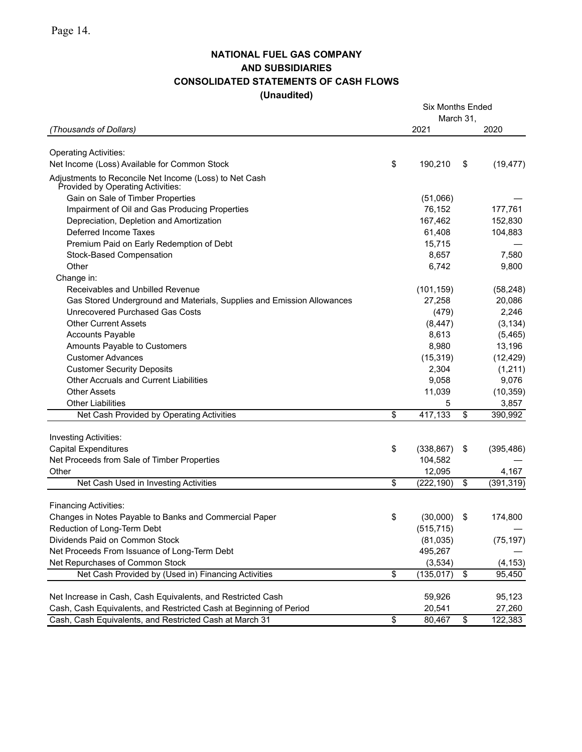## **NATIONAL FUEL GAS COMPANY AND SUBSIDIARIES CONSOLIDATED STATEMENTS OF CASH FLOWS (Unaudited)**

|                                                                                        | <b>Six Months Ended</b><br>March 31, |                 |            |
|----------------------------------------------------------------------------------------|--------------------------------------|-----------------|------------|
| (Thousands of Dollars)                                                                 | 2021                                 |                 | 2020       |
| <b>Operating Activities:</b>                                                           |                                      |                 |            |
| Net Income (Loss) Available for Common Stock                                           | \$<br>190,210                        | \$              | (19, 477)  |
| Adjustments to Reconcile Net Income (Loss) to Net Cash                                 |                                      |                 |            |
| Provided by Operating Activities:                                                      |                                      |                 |            |
| Gain on Sale of Timber Properties                                                      | (51,066)                             |                 |            |
| Impairment of Oil and Gas Producing Properties                                         | 76,152                               |                 | 177,761    |
| Depreciation, Depletion and Amortization                                               | 167,462                              |                 | 152,830    |
| Deferred Income Taxes                                                                  | 61,408                               |                 | 104,883    |
| Premium Paid on Early Redemption of Debt                                               | 15,715                               |                 |            |
| Stock-Based Compensation                                                               | 8,657                                |                 | 7,580      |
| Other                                                                                  | 6,742                                |                 | 9,800      |
| Change in:                                                                             |                                      |                 |            |
| Receivables and Unbilled Revenue                                                       | (101, 159)                           |                 | (58, 248)  |
| Gas Stored Underground and Materials, Supplies and Emission Allowances                 | 27,258                               |                 | 20,086     |
| Unrecovered Purchased Gas Costs                                                        | (479)                                |                 | 2,246      |
| <b>Other Current Assets</b>                                                            | (8, 447)                             |                 | (3, 134)   |
| <b>Accounts Payable</b>                                                                | 8,613                                |                 | (5,465)    |
| Amounts Payable to Customers                                                           | 8,980                                |                 | 13,196     |
| <b>Customer Advances</b>                                                               | (15, 319)                            |                 | (12, 429)  |
| <b>Customer Security Deposits</b>                                                      | 2,304                                |                 | (1,211)    |
| <b>Other Accruals and Current Liabilities</b>                                          | 9,058                                |                 | 9,076      |
| <b>Other Assets</b>                                                                    | 11,039                               |                 | (10, 359)  |
| <b>Other Liabilities</b>                                                               | 5                                    |                 | 3,857      |
| Net Cash Provided by Operating Activities                                              | \$<br>417,133                        | \$              | 390,992    |
| Investing Activities:                                                                  |                                      |                 |            |
| <b>Capital Expenditures</b>                                                            | \$<br>(338, 867)                     | \$              | (395, 486) |
| Net Proceeds from Sale of Timber Properties                                            | 104,582                              |                 |            |
| Other                                                                                  | 12,095                               |                 | 4,167      |
| Net Cash Used in Investing Activities                                                  | \$<br>(222, 190)                     | $\overline{\$}$ | (391, 319) |
|                                                                                        |                                      |                 |            |
| <b>Financing Activities:</b><br>Changes in Notes Payable to Banks and Commercial Paper | \$<br>(30,000)                       | \$              | 174,800    |
| Reduction of Long-Term Debt                                                            | (515, 715)                           |                 |            |
| Dividends Paid on Common Stock                                                         | (81, 035)                            |                 | (75, 197)  |
| Net Proceeds From Issuance of Long-Term Debt                                           | 495,267                              |                 |            |
| Net Repurchases of Common Stock                                                        | (3,534)                              |                 | (4, 153)   |
| Net Cash Provided by (Used in) Financing Activities                                    | \$<br>(135, 017)                     | \$              | 95,450     |
|                                                                                        |                                      |                 |            |
| Net Increase in Cash, Cash Equivalents, and Restricted Cash                            | 59,926                               |                 | 95,123     |
| Cash, Cash Equivalents, and Restricted Cash at Beginning of Period                     | 20,541                               |                 | 27,260     |
| Cash, Cash Equivalents, and Restricted Cash at March 31                                | \$<br>80,467                         | \$              | 122,383    |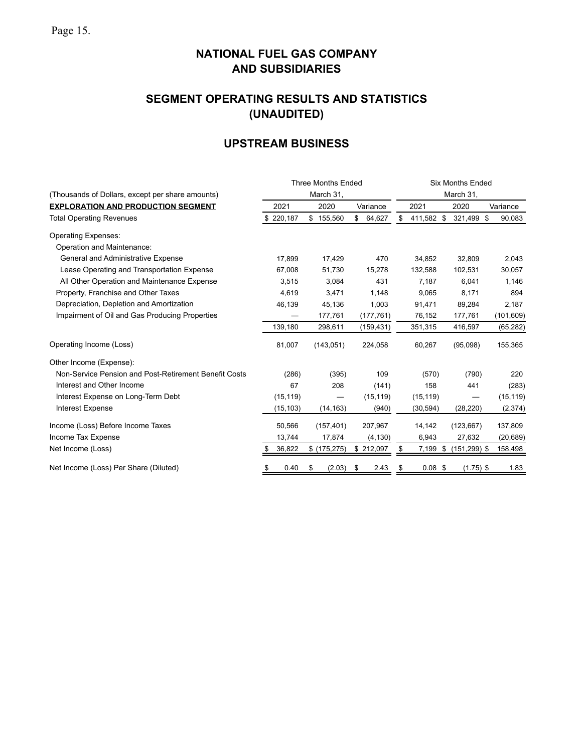# **SEGMENT OPERATING RESULTS AND STATISTICS (UNAUDITED)**

# **UPSTREAM BUSINESS**

|                                                       |                          |           |    | <b>Three Months Ended</b> |    |            | <b>Six Months Ended</b> |            |           |                 |  |            |  |  |  |
|-------------------------------------------------------|--------------------------|-----------|----|---------------------------|----|------------|-------------------------|------------|-----------|-----------------|--|------------|--|--|--|
| (Thousands of Dollars, except per share amounts)      |                          |           |    | March 31,                 |    |            |                         |            | March 31, |                 |  |            |  |  |  |
| <b>EXPLORATION AND PRODUCTION SEGMENT</b>             | 2021<br>2020<br>Variance |           |    |                           |    |            | 2021                    |            |           | 2020            |  | Variance   |  |  |  |
| <b>Total Operating Revenues</b>                       |                          | 220,187   | \$ | 155,560                   | \$ | 64,627     | \$                      | 411,582 \$ |           | 321,499 \$      |  | 90,083     |  |  |  |
| <b>Operating Expenses:</b>                            |                          |           |    |                           |    |            |                         |            |           |                 |  |            |  |  |  |
| Operation and Maintenance:                            |                          |           |    |                           |    |            |                         |            |           |                 |  |            |  |  |  |
| General and Administrative Expense                    |                          | 17,899    |    | 17,429                    |    | 470        |                         | 34,852     |           | 32,809          |  | 2,043      |  |  |  |
| Lease Operating and Transportation Expense            |                          | 67,008    |    | 51,730                    |    | 15,278     |                         | 132,588    |           | 102,531         |  | 30,057     |  |  |  |
| All Other Operation and Maintenance Expense           |                          | 3,515     |    | 3,084                     |    | 431        |                         | 7,187      |           | 6,041           |  | 1,146      |  |  |  |
| Property, Franchise and Other Taxes                   |                          | 4,619     |    | 3,471                     |    | 1,148      |                         | 9,065      |           | 8,171           |  | 894        |  |  |  |
| Depreciation, Depletion and Amortization              |                          | 46,139    |    | 45,136                    |    | 1,003      |                         | 91,471     |           | 89,284          |  | 2,187      |  |  |  |
| Impairment of Oil and Gas Producing Properties        |                          |           |    | 177,761                   |    | (177, 761) |                         | 76,152     |           | 177,761         |  | (101, 609) |  |  |  |
|                                                       |                          | 139,180   |    | 298,611                   |    | (159, 431) |                         | 351,315    |           | 416,597         |  | (65, 282)  |  |  |  |
| Operating Income (Loss)                               |                          | 81,007    |    | (143, 051)                |    | 224,058    |                         | 60,267     |           | (95,098)        |  | 155,365    |  |  |  |
| Other Income (Expense):                               |                          |           |    |                           |    |            |                         |            |           |                 |  |            |  |  |  |
| Non-Service Pension and Post-Retirement Benefit Costs |                          | (286)     |    | (395)                     |    | 109        |                         | (570)      |           | (790)           |  | 220        |  |  |  |
| Interest and Other Income                             |                          | 67        |    | 208                       |    | (141)      |                         | 158        |           | 441             |  | (283)      |  |  |  |
| Interest Expense on Long-Term Debt                    |                          | (15, 119) |    |                           |    | (15, 119)  |                         | (15, 119)  |           |                 |  | (15, 119)  |  |  |  |
| <b>Interest Expense</b>                               |                          | (15, 103) |    | (14, 163)                 |    | (940)      |                         | (30, 594)  |           | (28, 220)       |  | (2,374)    |  |  |  |
| Income (Loss) Before Income Taxes                     |                          | 50,566    |    | (157, 401)                |    | 207,967    |                         | 14,142     |           | (123, 667)      |  | 137,809    |  |  |  |
| Income Tax Expense                                    |                          | 13,744    |    | 17,874                    |    | (4, 130)   |                         | 6,943      |           | 27,632          |  | (20, 689)  |  |  |  |
| Net Income (Loss)                                     |                          | 36,822    |    | \$ (175, 275)             |    | \$212,097  | S                       | 7,199      | \$        | $(151, 299)$ \$ |  | 158,498    |  |  |  |
| Net Income (Loss) Per Share (Diluted)                 | \$                       | 0.40      | \$ | (2.03)                    | \$ | 2.43       | \$                      | $0.08$ \$  |           | $(1.75)$ \$     |  | 1.83       |  |  |  |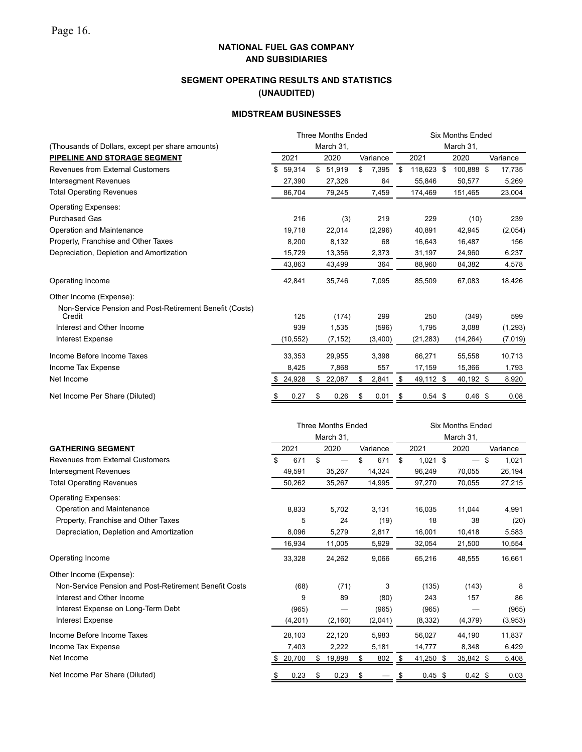## **SEGMENT OPERATING RESULTS AND STATISTICS (UNAUDITED)**

### **MIDSTREAM BUSINESSES**

|                                                         |            | <b>Three Months Ended</b> |             | <b>Six Months Ended</b> |            |  |                         |  |          |  |  |
|---------------------------------------------------------|------------|---------------------------|-------------|-------------------------|------------|--|-------------------------|--|----------|--|--|
| (Thousands of Dollars, except per share amounts)        |            | March 31,                 |             | March 31.               |            |  |                         |  |          |  |  |
| PIPELINE AND STORAGE SEGMENT                            | 2021       | 2020                      | Variance    |                         | 2021       |  | 2020                    |  | Variance |  |  |
| <b>Revenues from External Customers</b>                 | \$59,314   | \$51,919                  | \$<br>7,395 | \$                      | 118,623 \$ |  | 100,888 \$              |  | 17,735   |  |  |
| Intersegment Revenues                                   | 27,390     | 27,326                    | 64          |                         | 55,846     |  | 50,577                  |  | 5,269    |  |  |
| <b>Total Operating Revenues</b>                         | 86,704     | 79,245                    | 7,459       |                         | 174,469    |  | 151,465                 |  | 23,004   |  |  |
| <b>Operating Expenses:</b>                              |            |                           |             |                         |            |  |                         |  |          |  |  |
| <b>Purchased Gas</b>                                    | 216        | (3)                       | 219         |                         | 229        |  | (10)                    |  | 239      |  |  |
| Operation and Maintenance                               | 19,718     | 22,014                    | (2, 296)    |                         | 40,891     |  | 42,945                  |  | (2,054)  |  |  |
| Property, Franchise and Other Taxes                     | 8,200      | 8,132                     | 68          |                         | 16,643     |  | 16,487                  |  | 156      |  |  |
| Depreciation, Depletion and Amortization                | 15,729     | 13,356                    | 2,373       |                         | 31,197     |  | 24,960                  |  | 6,237    |  |  |
|                                                         | 43,863     | 43,499                    | 364         |                         | 88,960     |  | 84,382                  |  | 4,578    |  |  |
| Operating Income                                        | 42,841     | 35,746                    | 7,095       |                         | 85,509     |  | 67,083                  |  | 18,426   |  |  |
| Other Income (Expense):                                 |            |                           |             |                         |            |  |                         |  |          |  |  |
| Non-Service Pension and Post-Retirement Benefit (Costs) |            |                           |             |                         |            |  |                         |  |          |  |  |
| Credit                                                  | 125<br>939 | (174)                     | 299         |                         | 250        |  | (349)                   |  | 599      |  |  |
| Interest and Other Income                               |            | 1,535                     | (596)       |                         | 1,795      |  | 3,088                   |  | (1,293)  |  |  |
| <b>Interest Expense</b>                                 | (10, 552)  | (7, 152)                  | (3,400)     |                         | (21, 283)  |  | (14,264)                |  | (7,019)  |  |  |
| Income Before Income Taxes                              | 33,353     | 29,955                    | 3,398       |                         | 66,271     |  | 55,558                  |  | 10,713   |  |  |
| Income Tax Expense                                      | 8,425      | 7,868                     | 557         |                         | 17,159     |  | 15,366                  |  | 1,793    |  |  |
| Net Income                                              | \$24,928   | \$22,087                  | \$<br>2,841 | \$                      | 49,112 \$  |  | 40,192 \$               |  | 8,920    |  |  |
| Net Income Per Share (Diluted)                          | \$<br>0.27 | \$<br>0.26                | \$<br>0.01  | \$                      | $0.54$ \$  |  | 0.46~\$                 |  | 0.08     |  |  |
|                                                         |            | <b>Three Months Ended</b> |             |                         |            |  | <b>Six Months Ended</b> |  |          |  |  |
|                                                         |            | March 31,                 |             |                         |            |  | March 31,               |  |          |  |  |
| <b>GATHERING SEGMENT</b>                                | 2021       | 2020                      | Variance    |                         | 2021       |  | 2020                    |  | Variance |  |  |
| <b>Revenues from External Customers</b>                 | \$<br>671  | \$                        | \$<br>671   | \$                      | $1,021$ \$ |  | $-$ \$                  |  | 1,021    |  |  |
| <b>Intersegment Revenues</b>                            | 49,591     | 35,267                    | 14,324      |                         | 96,249     |  | 70,055                  |  | 26,194   |  |  |
| <b>Total Operating Revenues</b>                         | 50,262     | 35,267                    | 14,995      |                         | 97,270     |  | 70,055                  |  | 27,215   |  |  |
| <b>Operating Expenses:</b>                              |            |                           |             |                         |            |  |                         |  |          |  |  |
| Operation and Maintenance                               | 8,833      | 5,702                     | 3,131       |                         | 16,035     |  | 11,044                  |  | 4,991    |  |  |
| Property, Franchise and Other Taxes                     | 5          | 24                        | (19)        |                         | 18         |  | 38                      |  | (20)     |  |  |
| Depreciation, Depletion and Amortization                | 8,096      | 5,279                     | 2,817       |                         | 16,001     |  | 10,418                  |  | 5,583    |  |  |
|                                                         | 16,934     | 11,005                    | 5,929       |                         | 32,054     |  | 21,500                  |  | 10,554   |  |  |
| Operating Income                                        | 33,328     | 24,262                    | 9,066       |                         | 65,216     |  | 48,555                  |  | 16,661   |  |  |
| Other Income (Expense):                                 |            |                           |             |                         |            |  |                         |  |          |  |  |
| Non-Service Pension and Post-Retirement Benefit Costs   | (68)       | (71)                      | 3           |                         | (135)      |  | (143)                   |  | 8        |  |  |
| Interest and Other Income                               | 9          | 89                        | (80)        |                         | 243        |  | 157                     |  | 86       |  |  |

Interest Expense on Long-Term Debt (965) — (965) (965) — (965)

Interest Expense (4,201) (2,160) (2,041) (8,332) (4,379) (3,953) Income Before Income Taxes 28,103 22,120 5,983 56,027 44,190 11,837 Income Tax Expense 6,429 12,222 5,181 14,777 8,348 6,429 Net Income \$ 20,700 \$ 19,898 \$ 802 \$ 41,250 \$ 35,842 \$ 5,408

Net Income Per Share (Diluted) <br>
\$ 0.23 \$ 0.23 \$ 0.23 \$ 0.45 \$ 0.42 \$ 0.03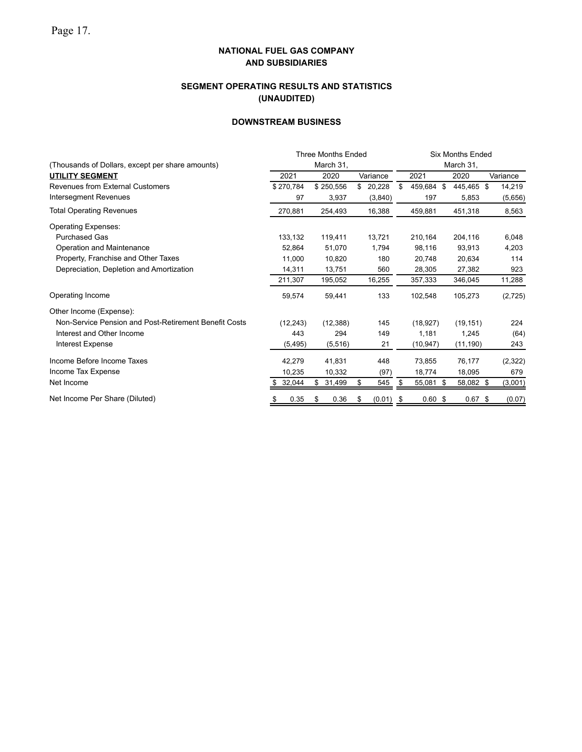## **SEGMENT OPERATING RESULTS AND STATISTICS (UNAUDITED)**

## **DOWNSTREAM BUSINESS**

|                                                       |              | <b>Three Months Ended</b> |              | <b>Six Months Ended</b> |            |      |            |          |  |  |  |  |
|-------------------------------------------------------|--------------|---------------------------|--------------|-------------------------|------------|------|------------|----------|--|--|--|--|
| (Thousands of Dollars, except per share amounts)      |              | March 31,                 |              |                         |            |      | March 31,  |          |  |  |  |  |
| <b>UTILITY SEGMENT</b>                                | 2021         | 2020                      | Variance     |                         | 2021       |      | 2020       | Variance |  |  |  |  |
| <b>Revenues from External Customers</b>               | \$270,784    | \$250,556                 | 20,228<br>\$ | \$                      | 459,684 \$ |      | 445,465 \$ | 14,219   |  |  |  |  |
| Intersegment Revenues                                 | 97           | 3,937                     | (3,840)      |                         | 197        |      | 5,853      | (5,656)  |  |  |  |  |
| <b>Total Operating Revenues</b>                       | 270,881      | 254,493                   | 16,388       |                         | 459,881    |      | 451,318    | 8,563    |  |  |  |  |
| <b>Operating Expenses:</b>                            |              |                           |              |                         |            |      |            |          |  |  |  |  |
| <b>Purchased Gas</b>                                  | 133,132      | 119,411                   | 13,721       |                         | 210,164    |      | 204,116    | 6,048    |  |  |  |  |
| Operation and Maintenance                             | 52,864       | 51,070                    | 1,794        |                         | 98,116     |      | 93,913     | 4,203    |  |  |  |  |
| Property, Franchise and Other Taxes                   | 11,000       | 10,820                    | 180          |                         | 20,748     |      | 20,634     | 114      |  |  |  |  |
| Depreciation, Depletion and Amortization              | 14,311       | 13,751                    | 560          |                         | 28,305     |      | 27,382     | 923      |  |  |  |  |
|                                                       | 211,307      | 195,052                   | 16,255       |                         | 357,333    |      | 346,045    | 11,288   |  |  |  |  |
| Operating Income                                      | 59,574       | 59,441                    | 133          |                         | 102,548    |      | 105,273    | (2,725)  |  |  |  |  |
| Other Income (Expense):                               |              |                           |              |                         |            |      |            |          |  |  |  |  |
| Non-Service Pension and Post-Retirement Benefit Costs | (12, 243)    | (12, 388)                 | 145          |                         | (18, 927)  |      | (19, 151)  | 224      |  |  |  |  |
| Interest and Other Income                             | 443          | 294                       | 149          |                         | 1,181      |      | 1,245      | (64)     |  |  |  |  |
| <b>Interest Expense</b>                               | (5, 495)     | (5, 516)                  | 21           |                         | (10, 947)  |      | (11, 190)  | 243      |  |  |  |  |
| Income Before Income Taxes                            | 42,279       | 41,831                    | 448          |                         | 73,855     |      | 76,177     | (2,322)  |  |  |  |  |
| Income Tax Expense                                    | 10,235       | 10,332                    | (97)         |                         | 18,774     |      | 18,095     | 679      |  |  |  |  |
| Net Income                                            | 32,044<br>\$ | \$<br>31,499              | 545<br>\$    | \$                      | 55,081     | - \$ | 58,082 \$  | (3,001)  |  |  |  |  |
| Net Income Per Share (Diluted)                        | 0.35<br>S    | 0.36<br>æ.                | (0.01)<br>\$ | \$                      | 0.60~\$    |      | $0.67$ \$  | (0.07)   |  |  |  |  |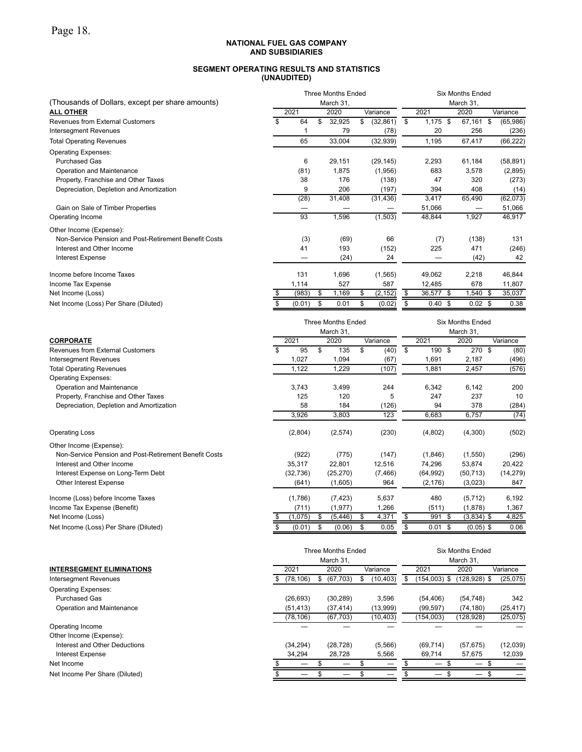#### **NATIONAL FUEL GAS COMPANY AND SUBSIDIARIES**

### **SEGMENT OPERATING RESULTS AND STATISTICS (UNAUDITED)**

|                                                       |                         |           | <b>Three Months Ended</b> | <b>Six Months Ended</b><br>March 31, |                 |           |                   |  |                         |                |
|-------------------------------------------------------|-------------------------|-----------|---------------------------|--------------------------------------|-----------------|-----------|-------------------|--|-------------------------|----------------|
| (Thousands of Dollars, except per share amounts)      |                         | March 31, |                           |                                      |                 |           |                   |  |                         |                |
| <b>ALL OTHER</b>                                      |                         | 2021      |                           | 2020                                 | Variance        |           | 2021              |  | 2020                    | Variance       |
| <b>Revenues from External Customers</b>               | $\overline{\mathbb{S}}$ | 64        | \$                        | 32,925                               | (32, 861)<br>\$ | \$        | $1,175$ \$        |  | 67,161                  | \$<br>(65,986) |
| <b>Intersegment Revenues</b>                          |                         |           |                           | 79                                   | (78)            |           | 20                |  | 256                     | (236)          |
| <b>Total Operating Revenues</b>                       |                         | 65        |                           | 33,004                               | (32, 939)       |           | 1,195             |  | 67,417                  | (66, 222)      |
| <b>Operating Expenses:</b>                            |                         |           |                           |                                      |                 |           |                   |  |                         |                |
| <b>Purchased Gas</b>                                  |                         | 6         |                           | 29,151                               | (29, 145)       |           | 2,293             |  | 61,184                  | (58, 891)      |
| Operation and Maintenance                             |                         | (81)      |                           | 1,875                                | (1,956)         |           | 683               |  | 3,578                   | (2,895)        |
| Property, Franchise and Other Taxes                   |                         | 38        |                           | 176                                  | (138)           |           | 47                |  | 320                     | (273)          |
| Depreciation, Depletion and Amortization              |                         | 9         |                           | 206                                  | (197)           |           | 394               |  | 408                     | (14)           |
|                                                       |                         | (28)      |                           | 31,408                               | (31, 436)       |           | 3,417             |  | 65,490                  | (62,073)       |
| Gain on Sale of Timber Properties                     |                         |           |                           |                                      |                 |           | 51,066            |  |                         | 51,066         |
| Operating Income                                      |                         | 93        |                           | 1,596                                | (1, 503)        |           | 48,844            |  | 1,927                   | 46,917         |
| Other Income (Expense):                               |                         |           |                           |                                      |                 |           |                   |  |                         |                |
| Non-Service Pension and Post-Retirement Benefit Costs |                         | (3)       |                           | (69)                                 | 66              |           | (7)               |  | (138)                   | 131            |
| Interest and Other Income                             |                         | 41        |                           | 193                                  | (152)           |           | 225               |  | 471                     | (246)          |
| <b>Interest Expense</b>                               |                         |           |                           | (24)                                 | 24              |           |                   |  | (42)                    | 42             |
| Income before Income Taxes                            |                         | 131       |                           | 1,696                                | (1, 565)        |           | 49,062            |  | 2,218                   | 46,844         |
| Income Tax Expense                                    |                         | 1.114     |                           | 527                                  | 587             |           | 12.485            |  | 678                     | 11,807         |
| Net Income (Loss)                                     |                         | (983)     | S                         | 1,169                                | (2, 152)<br>S   | S         | 36,577 \$         |  | $1,540$ \$              | 35,037         |
| Net Income (Loss) Per Share (Diluted)                 |                         | (0.01)    | \$                        | 0.01                                 | \$<br>(0.02)    | \$.       | $0.40~\text{\AA}$ |  | $0.02 \text{ }$ \$      | 0.38           |
|                                                       |                         |           |                           | <b>Three Months Ended</b>            |                 |           |                   |  | <b>Six Months Ended</b> |                |
|                                                       |                         |           |                           | March 31,                            |                 | March 31, |                   |  |                         |                |
| <b>CORPORATE</b>                                      |                         | 2021      |                           | 2020                                 | Variance        |           | 2021              |  | 2020                    | Variance       |
|                                                       |                         |           |                           |                                      |                 |           |                   |  |                         |                |

| .                                                     | - - - -   |    | ∸∽∼       | $"$ ununo | ---               |              | $"$ ununo |
|-------------------------------------------------------|-----------|----|-----------|-----------|-------------------|--------------|-----------|
| <b>Revenues from External Customers</b>               | 95        | \$ | 135       | (40)      | \$<br>190<br>- \$ | 270<br>\$    | (80)      |
| Intersegment Revenues                                 | 1,027     |    | 1,094     | (67)      | 1,691             | 2,187        | (496)     |
| <b>Total Operating Revenues</b>                       | 1,122     |    | 1,229     | (107)     | 1,881             | 2,457        | (576)     |
| <b>Operating Expenses:</b>                            |           |    |           |           |                   |              |           |
| Operation and Maintenance                             | 3,743     |    | 3,499     | 244       | 6,342             | 6,142        | 200       |
| Property, Franchise and Other Taxes                   | 125       |    | 120       | 5         | 247               | 237          | 10        |
| Depreciation, Depletion and Amortization              | 58        |    | 184       | (126)     | 94                | 378          | (284)     |
|                                                       | 3,926     |    | 3,803     | 123       | 6,683             | 6,757        | (74)      |
| <b>Operating Loss</b>                                 | (2,804)   |    | (2,574)   | (230)     | (4,802)           | (4,300)      | (502)     |
| Other Income (Expense):                               |           |    |           |           |                   |              |           |
| Non-Service Pension and Post-Retirement Benefit Costs | (922)     |    | (775)     | (147)     | (1,846)           | (1,550)      | (296)     |
| Interest and Other Income                             | 35,317    |    | 22,801    | 12,516    | 74,296            | 53,874       | 20,422    |
| Interest Expense on Long-Term Debt                    | (32, 736) |    | (25, 270) | (7, 466)  | (64, 992)         | (50, 713)    | (14, 279) |
| Other Interest Expense                                | (641)     |    | (1,605)   | 964       | (2, 176)          | (3,023)      | 847       |
| Income (Loss) before Income Taxes                     | (1,786)   |    | (7, 423)  | 5,637     | 480               | (5,712)      | 6,192     |
| Income Tax Expense (Benefit)                          | (711)     |    | (1, 977)  | 1,266     | (511)             | (1,878)      | 1,367     |
| Net Income (Loss)                                     | (1,075)   | S  | (5, 446)  | 4,371     | 991<br>- S        | $(3,834)$ \$ | 4,825     |
|                                                       |           |    |           |           |                   |              |           |

Net Income (Loss) Per Share (Diluted) **\$** (0.01) \$ (0.06) \$ 0.05 \$ 0.01 \$ (0.05) \$ 0.06

|                                  |    |           | <b>Three Months Ended</b><br>March 31, |           |              | Six Months Ended<br>March 31, |           |
|----------------------------------|----|-----------|----------------------------------------|-----------|--------------|-------------------------------|-----------|
| <b>INTERSEGMENT ELIMINATIONS</b> |    | 2021      | 2020                                   | Variance  | 2021         | 2020                          | Variance  |
| Intersegment Revenues            | S. | (78, 106) | \$<br>(67, 703)                        | (10, 403) | (154,003) \$ | $(128, 928)$ \$               | (25, 075) |
| <b>Operating Expenses:</b>       |    |           |                                        |           |              |                               |           |
| <b>Purchased Gas</b>             |    | (26, 693) | (30, 289)                              | 3,596     | (54, 406)    | (54, 748)                     | 342       |
| Operation and Maintenance        |    | (51, 413) | (37, 414)                              | (13,999)  | (99, 597)    | (74, 180)                     | (25, 417) |
|                                  |    | (78, 106) | (67, 703)                              | (10, 403) | (154,003)    | (128, 928)                    | (25,075)  |
| Operating Income                 |    |           |                                        |           |              |                               |           |
| Other Income (Expense):          |    |           |                                        |           |              |                               |           |
| Interest and Other Deductions    |    | (34, 294) | (28, 728)                              | (5,566)   | (69, 714)    | (57, 675)                     | (12,039)  |
| <b>Interest Expense</b>          |    | 34,294    | 28,728                                 | 5,566     | 69,714       | 57.675                        | 12,039    |
| Net Income                       |    |           |                                        |           | –            |                               |           |
| Net Income Per Share (Diluted)   |    |           |                                        |           |              | –                             | £.        |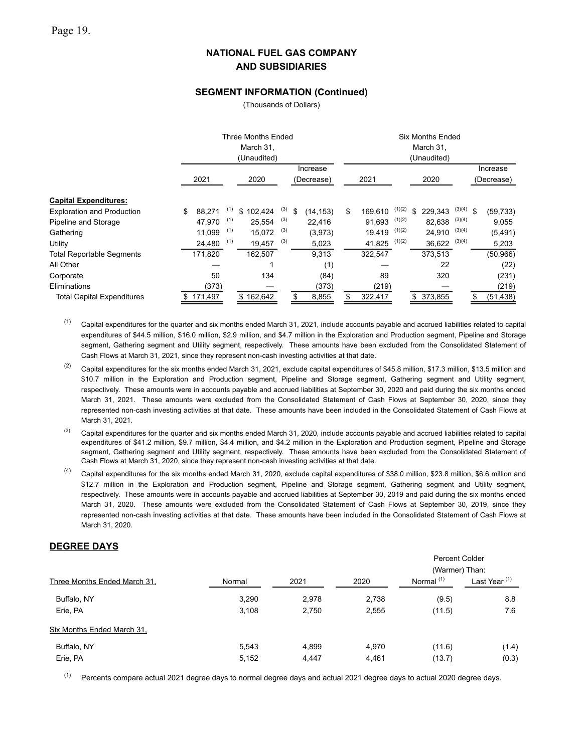### **SEGMENT INFORMATION (Continued)**

(Thousands of Dollars)

|                                   |    | Three Months Ended<br>March 31,<br>(Unaudited) |     |           |     |    |                        |               |        | <b>Six Months Ended</b><br>March 31,<br>(Unaudited) |             |                        |
|-----------------------------------|----|------------------------------------------------|-----|-----------|-----|----|------------------------|---------------|--------|-----------------------------------------------------|-------------|------------------------|
|                                   |    | 2021                                           |     | 2020      |     |    | Increase<br>(Decrease) | 2021          |        | 2020                                                |             | Increase<br>(Decrease) |
| <b>Capital Expenditures:</b>      |    |                                                |     |           |     |    |                        |               |        |                                                     |             |                        |
| <b>Exploration and Production</b> | \$ | 88,271                                         | (1) | \$102,424 | (3) | \$ | (14, 153)              | \$<br>169,610 | (1)(2) | \$<br>229,343                                       | $(3)(4)$ \$ | (59, 733)              |
| Pipeline and Storage              |    | 47.970                                         | (1) | 25.554    | (3) |    | 22.416                 | 91.693        | (1)(2) | 82,638                                              | (3)(4)      | 9,055                  |
| Gathering                         |    | 11,099                                         | (1) | 15,072    | (3) |    | (3,973)                | 19,419        | (1)(2) | 24,910                                              | (3)(4)      | (5, 491)               |
| Utility                           |    | 24,480                                         | (1) | 19,457    | (3) |    | 5,023                  | 41,825        | (1)(2) | 36,622                                              | (3)(4)      | 5,203                  |
| <b>Total Reportable Segments</b>  |    | 171,820                                        |     | 162.507   |     |    | 9.313                  | 322,547       |        | 373,513                                             |             | (50, 966)              |
| All Other                         |    |                                                |     |           |     |    | (1)                    |               |        | 22                                                  |             | (22)                   |
| Corporate                         |    | 50                                             |     | 134       |     |    | (84)                   | 89            |        | 320                                                 |             | (231)                  |
| Eliminations                      |    | (373)                                          |     |           |     |    | (373)                  | (219)         |        |                                                     |             | (219)                  |
| <b>Total Capital Expenditures</b> | S. | 171,497                                        |     | \$162,642 |     | \$ | 8,855                  | 322,417       |        | \$ 373,855                                          |             | \$<br>(51, 438)        |

 $(1)$  Capital expenditures for the quarter and six months ended March 31, 2021, include accounts payable and accrued liabilities related to capital expenditures of \$44.5 million, \$16.0 million, \$2.9 million, and \$4.7 million in the Exploration and Production segment, Pipeline and Storage segment, Gathering segment and Utility segment, respectively. These amounts have been excluded from the Consolidated Statement of Cash Flows at March 31, 2021, since they represent non-cash investing activities at that date.

<sup>(2)</sup> Capital expenditures for the six months ended March 31, 2021, exclude capital expenditures of \$45.8 million, \$17.3 million, \$13.5 million and \$10.7 million in the Exploration and Production segment, Pipeline and Storage segment, Gathering segment and Utility segment, respectively. These amounts were in accounts payable and accrued liabilities at September 30, 2020 and paid during the six months ended March 31, 2021. These amounts were excluded from the Consolidated Statement of Cash Flows at September 30, 2020, since they represented non-cash investing activities at that date. These amounts have been included in the Consolidated Statement of Cash Flows at March 31, 2021.

 $^{(3)}$  Capital expenditures for the quarter and six months ended March 31, 2020, include accounts payable and accrued liabilities related to capital expenditures of \$41.2 million, \$9.7 million, \$4.4 million, and \$4.2 million in the Exploration and Production segment, Pipeline and Storage segment, Gathering segment and Utility segment, respectively. These amounts have been excluded from the Consolidated Statement of Cash Flows at March 31, 2020, since they represent non-cash investing activities at that date.

 $(4)$  Capital expenditures for the six months ended March 31, 2020, exclude capital expenditures of \$38.0 million, \$23.8 million, \$6.6 million and \$12.7 million in the Exploration and Production segment, Pipeline and Storage segment, Gathering segment and Utility segment, respectively. These amounts were in accounts payable and accrued liabilities at September 30, 2019 and paid during the six months ended March 31, 2020. These amounts were excluded from the Consolidated Statement of Cash Flows at September 30, 2019, since they represented non-cash investing activities at that date. These amounts have been included in the Consolidated Statement of Cash Flows at March 31, 2020.

### **DEGREE DAYS**

|                              |        |       |       | <b>Percent Colder</b>                   |                          |
|------------------------------|--------|-------|-------|-----------------------------------------|--------------------------|
| Three Months Ended March 31, | Normal | 2021  | 2020  | (Warmer) Than:<br>Normal <sup>(1)</sup> | Last Year <sup>(1)</sup> |
| Buffalo, NY                  | 3,290  | 2,978 | 2,738 | (9.5)                                   | 8.8                      |
| Erie, PA                     | 3,108  | 2,750 | 2,555 | (11.5)                                  | 7.6                      |
| Six Months Ended March 31,   |        |       |       |                                         |                          |
| Buffalo, NY                  | 5,543  | 4.899 | 4.970 | (11.6)                                  | (1.4)                    |
| Erie, PA                     | 5,152  | 4,447 | 4,461 | (13.7)                                  | (0.3)                    |

 $(1)$  Percents compare actual 2021 degree days to normal degree days and actual 2021 degree days to actual 2020 degree days.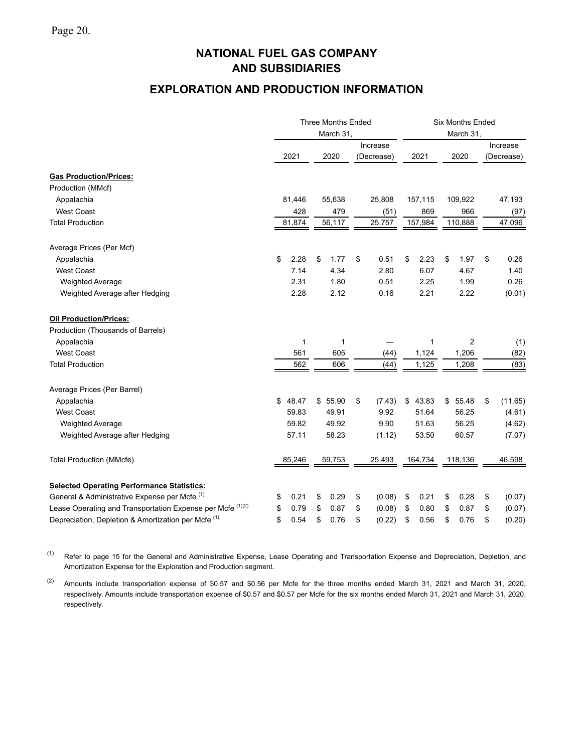# **EXPLORATION AND PRODUCTION INFORMATION**

|                                                                       |             | <b>Three Months Ended</b> |                        | <b>Six Months Ended</b> |             |                        |  |  |  |
|-----------------------------------------------------------------------|-------------|---------------------------|------------------------|-------------------------|-------------|------------------------|--|--|--|
|                                                                       |             | March 31,                 |                        |                         | March 31,   |                        |  |  |  |
|                                                                       | 2021        | 2020                      | Increase<br>(Decrease) | 2021                    | 2020        | Increase<br>(Decrease) |  |  |  |
| <b>Gas Production/Prices:</b>                                         |             |                           |                        |                         |             |                        |  |  |  |
| Production (MMcf)                                                     |             |                           |                        |                         |             |                        |  |  |  |
| Appalachia                                                            | 81,446      | 55,638                    | 25,808                 | 157,115                 | 109,922     | 47,193                 |  |  |  |
| <b>West Coast</b>                                                     | 428         | 479                       | (51)                   | 869                     | 966         | (97)                   |  |  |  |
| <b>Total Production</b>                                               | 81,874      | 56,117                    | 25,757                 | 157,984                 | 110,888     | 47,096                 |  |  |  |
| Average Prices (Per Mcf)                                              |             |                           |                        |                         |             |                        |  |  |  |
| Appalachia                                                            | \$<br>2.28  | \$<br>1.77                | \$<br>0.51             | \$<br>2.23              | \$<br>1.97  | \$<br>0.26             |  |  |  |
| <b>West Coast</b>                                                     | 7.14        | 4.34                      | 2.80                   | 6.07                    | 4.67        | 1.40                   |  |  |  |
| <b>Weighted Average</b>                                               | 2.31        | 1.80                      | 0.51                   | 2.25                    | 1.99        | 0.26                   |  |  |  |
| Weighted Average after Hedging                                        | 2.28        | 2.12                      | 0.16                   | 2.21                    | 2.22        | (0.01)                 |  |  |  |
| <b>Oil Production/Prices:</b>                                         |             |                           |                        |                         |             |                        |  |  |  |
| Production (Thousands of Barrels)                                     |             |                           |                        |                         |             |                        |  |  |  |
| Appalachia                                                            | 1           | 1                         |                        |                         | 2           | (1)                    |  |  |  |
| <b>West Coast</b>                                                     | 561         | 605                       | (44)                   | 1,124                   | 1,206       | (82)                   |  |  |  |
| <b>Total Production</b>                                               | 562         | 606                       | (44)                   | 1,125                   | 1,208       | (83)                   |  |  |  |
| Average Prices (Per Barrel)                                           |             |                           |                        |                         |             |                        |  |  |  |
| Appalachia                                                            | \$<br>48.47 | \$55.90                   | \$<br>(7.43)           | \$43.83                 | 55.48<br>\$ | \$<br>(11.65)          |  |  |  |
| <b>West Coast</b>                                                     | 59.83       | 49.91                     | 9.92                   | 51.64                   | 56.25       | (4.61)                 |  |  |  |
| <b>Weighted Average</b>                                               | 59.82       | 49.92                     | 9.90                   | 51.63                   | 56.25       | (4.62)                 |  |  |  |
| Weighted Average after Hedging                                        | 57.11       | 58.23                     | (1.12)                 | 53.50                   | 60.57       | (7.07)                 |  |  |  |
| <b>Total Production (MMcfe)</b>                                       | 85,246      | 59,753                    | 25,493                 | 164,734                 | 118,136     | 46,598                 |  |  |  |
| <b>Selected Operating Performance Statistics:</b>                     |             |                           |                        |                         |             |                        |  |  |  |
| General & Administrative Expense per Mcfe <sup>(1)</sup>              | 0.21<br>\$  | \$<br>0.29                | (0.08)<br>\$           | \$<br>0.21              | \$<br>0.28  | \$<br>(0.07)           |  |  |  |
| Lease Operating and Transportation Expense per Mcfe <sup>(1)(2)</sup> | \$<br>0.79  | \$<br>0.87                | \$<br>(0.08)           | \$<br>0.80              | \$<br>0.87  | \$<br>(0.07)           |  |  |  |
| Depreciation, Depletion & Amortization per Mcfe <sup>(1)</sup>        | \$<br>0.54  | \$<br>0.76                | \$<br>(0.22)           | \$<br>0.56              | \$<br>0.76  | \$<br>(0.20)           |  |  |  |

(1) Refer to page 15 for the General and Administrative Expense, Lease Operating and Transportation Expense and Depreciation, Depletion, and Amortization Expense for the Exploration and Production segment.

(2) Amounts include transportation expense of \$0.57 and \$0.56 per Mcfe for the three months ended March 31, 2021 and March 31, 2020, respectively. Amounts include transportation expense of \$0.57 and \$0.57 per Mcfe for the six months ended March 31, 2021 and March 31, 2020, respectively.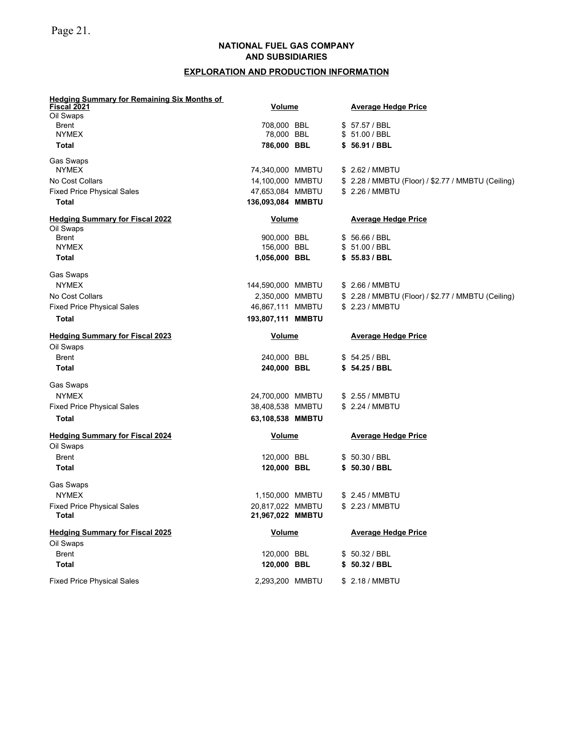## **EXPLORATION AND PRODUCTION INFORMATION**

| <b>Hedging Summary for Remaining Six Months of</b>  |                                      |  |                                                    |
|-----------------------------------------------------|--------------------------------------|--|----------------------------------------------------|
| <u>Fiscal 2021</u><br>Oil Swaps                     | <b>Volume</b>                        |  | <b>Average Hedge Price</b>                         |
| <b>Brent</b>                                        | 708,000 BBL                          |  | \$57.57 / BBL                                      |
| <b>NYMEX</b>                                        | 78,000 BBL                           |  | \$ 51.00 / BBL                                     |
| <b>Total</b>                                        | 786,000 BBL                          |  | \$56.91 / BBL                                      |
| <b>Gas Swaps</b>                                    |                                      |  |                                                    |
| <b>NYMEX</b>                                        | 74,340,000 MMBTU                     |  | \$ 2.62 / MMBTU                                    |
| No Cost Collars                                     | 14,100,000 MMBTU                     |  | \$ 2.28 / MMBTU (Floor) / \$2.77 / MMBTU (Ceiling) |
| <b>Fixed Price Physical Sales</b>                   | 47,653,084 MMBTU                     |  | \$ 2.26 / MMBTU                                    |
| <b>Total</b>                                        | 136,093,084 MMBTU                    |  |                                                    |
| <b>Hedging Summary for Fiscal 2022</b><br>Oil Swaps | <b>Volume</b>                        |  | <b>Average Hedge Price</b>                         |
| <b>Brent</b>                                        | 900,000 BBL                          |  | \$56.66 / BBL                                      |
| <b>NYMEX</b>                                        | 156,000 BBL                          |  | \$ 51.00 / BBL                                     |
| <b>Total</b>                                        | 1,056,000 BBL                        |  | \$55.83/BBL                                        |
| Gas Swaps                                           |                                      |  |                                                    |
| <b>NYMEX</b>                                        | 144,590,000 MMBTU                    |  | \$ 2.66 / MMBTU                                    |
| No Cost Collars                                     | 2,350,000 MMBTU                      |  | \$ 2.28 / MMBTU (Floor) / \$2.77 / MMBTU (Ceiling) |
| <b>Fixed Price Physical Sales</b>                   | 46,867,111 MMBTU                     |  | \$ 2.23 / MMBTU                                    |
| Total                                               | 193,807,111 MMBTU                    |  |                                                    |
| <b>Hedging Summary for Fiscal 2023</b>              | <b>Volume</b>                        |  | <b>Average Hedge Price</b>                         |
| Oil Swaps                                           |                                      |  |                                                    |
| <b>Brent</b>                                        | 240,000 BBL                          |  | \$54.25 / BBL                                      |
| <b>Total</b>                                        | 240,000 BBL                          |  | \$54.25 / BBL                                      |
| Gas Swaps                                           |                                      |  |                                                    |
| <b>NYMEX</b>                                        | 24,700,000 MMBTU                     |  | \$ 2.55 / MMBTU                                    |
| <b>Fixed Price Physical Sales</b>                   | 38,408,538 MMBTU                     |  | \$ 2.24 / MMBTU                                    |
| <b>Total</b>                                        | 63,108,538 MMBTU                     |  |                                                    |
| <b>Hedging Summary for Fiscal 2024</b>              | <b>Volume</b>                        |  | <b>Average Hedge Price</b>                         |
| Oil Swaps                                           |                                      |  |                                                    |
| <b>Brent</b>                                        | 120,000 BBL                          |  | \$50.30 / BBL                                      |
| <b>Total</b>                                        | 120,000 BBL                          |  | \$50.30 / BBL                                      |
| Gas Swaps                                           |                                      |  |                                                    |
| <b>NYMEX</b>                                        | 1,150,000 MMBTU                      |  | \$ 2.45 / MMBTU                                    |
| <b>Fixed Price Physical Sales</b><br><b>Total</b>   | 20,817,022 MMBTU<br>21,967,022 MMBTU |  | \$ 2.23 / MMBTU                                    |
| <b>Hedging Summary for Fiscal 2025</b>              | Volume                               |  | <b>Average Hedge Price</b>                         |
| Oil Swaps                                           |                                      |  |                                                    |
| <b>Brent</b>                                        | 120,000 BBL                          |  | \$50.32 / BBL                                      |
| <b>Total</b>                                        | 120,000 BBL                          |  | \$50.32 / BBL                                      |
| <b>Fixed Price Physical Sales</b>                   | 2,293,200 MMBTU                      |  | \$ 2.18 / MMBTU                                    |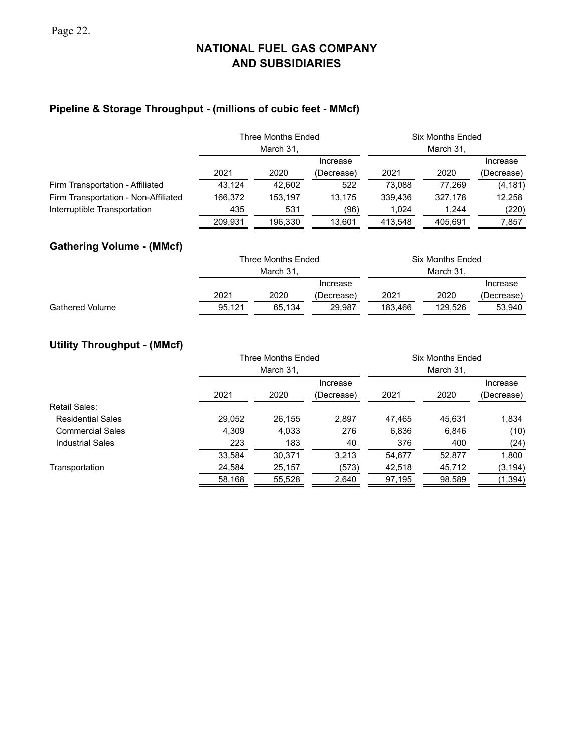## **Pipeline & Storage Throughput - (millions of cubic feet - MMcf)**

|                                      |         | <b>Three Months Ended</b><br>March 31, |            | <b>Six Months Ended</b> |         |            |  |
|--------------------------------------|---------|----------------------------------------|------------|-------------------------|---------|------------|--|
|                                      |         |                                        | Increase   |                         |         | Increase   |  |
|                                      | 2021    | 2020                                   | (Decrease) | 2021                    | 2020    | (Decrease) |  |
| Firm Transportation - Affiliated     | 43.124  | 42.602                                 | 522        | 73.088                  | 77.269  | (4, 181)   |  |
| Firm Transportation - Non-Affiliated | 166.372 | 153.197                                | 13.175     | 339.436                 | 327.178 | 12,258     |  |
| Interruptible Transportation         | 435     | 531                                    | (96)       | 1.024                   | 1.244   | (220)      |  |
|                                      | 209.931 | 196.330                                | 13.601     | 413.548                 | 405.691 | 7,857      |  |

## **Gathering Volume - (MMcf)**

|                        |        | Three Months Ended |          | <b>Six Months Ended</b> |         |            |  |  |  |  |  |
|------------------------|--------|--------------------|----------|-------------------------|---------|------------|--|--|--|--|--|
|                        |        | March 31.          |          |                         |         |            |  |  |  |  |  |
|                        |        |                    | Increase |                         |         | Increase   |  |  |  |  |  |
|                        | 2021   | 2020<br>(Decrease) |          | 2021                    | 2020    | (Decrease) |  |  |  |  |  |
| <b>Gathered Volume</b> | 95.121 | 65.134             | 29.987   | 183.466                 | 129.526 | 53.940     |  |  |  |  |  |

## **Utility Throughput - (MMcf)**

|              |           |            | Six Months Ended   |        |            |  |  |  |  |  |
|--------------|-----------|------------|--------------------|--------|------------|--|--|--|--|--|
|              | March 31, |            |                    |        |            |  |  |  |  |  |
|              |           | Increase   |                    |        | Increase   |  |  |  |  |  |
| 2021<br>2020 |           | (Decrease) | 2021               | 2020   | (Decrease) |  |  |  |  |  |
|              |           |            |                    |        |            |  |  |  |  |  |
| 29,052       | 26,155    | 2,897      | 47,465             | 45.631 | 1,834      |  |  |  |  |  |
| 4.309        | 4,033     | 276        | 6,836              | 6,846  | (10)       |  |  |  |  |  |
| 223          | 183       | 40         | 376                | 400    | (24)       |  |  |  |  |  |
| 33.584       | 30.371    | 3.213      | 54.677             | 52.877 | 1,800      |  |  |  |  |  |
| 24,584       | 25,157    | (573)      | 42,518             | 45,712 | (3, 194)   |  |  |  |  |  |
| 58,168       | 55,528    | 2,640      | 97,195             | 98,589 | (1, 394)   |  |  |  |  |  |
|              |           |            | Three Months Ended |        | March 31,  |  |  |  |  |  |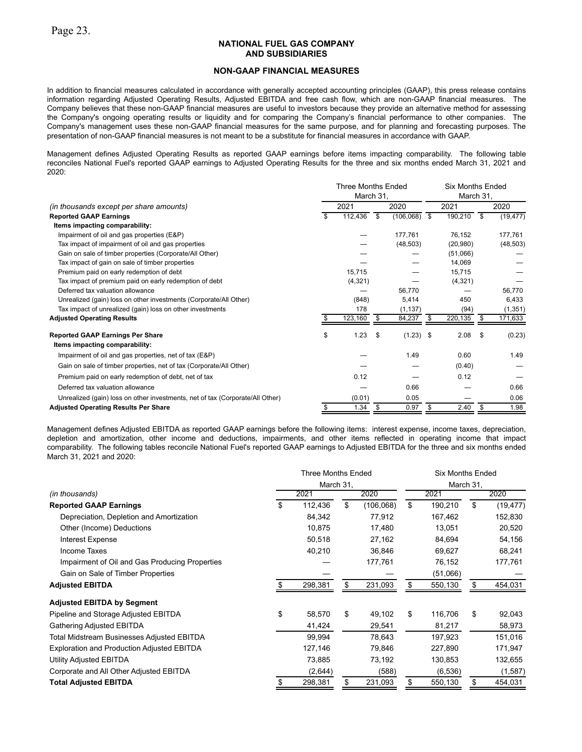#### **NON-GAAP FINANCIAL MEASURES**

In addition to financial measures calculated in accordance with generally accepted accounting principles (GAAP), this press release contains information regarding Adjusted Operating Results, Adjusted EBITDA and free cash flow, which are non-GAAP financial measures. The Company believes that these non-GAAP financial measures are useful to investors because they provide an alternative method for assessing the Company's ongoing operating results or liquidity and for comparing the Company's financial performance to other companies. The Company's management uses these non-GAAP financial measures for the same purpose, and for planning and forecasting purposes. The presentation of non-GAAP financial measures is not meant to be a substitute for financial measures in accordance with GAAP.

Management defines Adjusted Operating Results as reported GAAP earnings before items impacting comparability. The following table reconciles National Fuel's reported GAAP earnings to Adjusted Operating Results for the three and six months ended March 31, 2021 and 2020:

|                                                                               | <b>Three Months Ended</b><br>March 31, |      |             | <b>Six Months Ended</b><br>March 31. |           |      |           |
|-------------------------------------------------------------------------------|----------------------------------------|------|-------------|--------------------------------------|-----------|------|-----------|
| (in thousands except per share amounts)                                       | 2021                                   | 2020 |             | 2021                                 |           | 2020 |           |
| <b>Reported GAAP Earnings</b>                                                 | 112,436                                | \$   | (106, 068)  | - \$                                 | 190,210   | - \$ | (19, 477) |
| Items impacting comparability:                                                |                                        |      |             |                                      |           |      |           |
| Impairment of oil and gas properties (E&P)                                    |                                        |      | 177,761     |                                      | 76.152    |      | 177,761   |
| Tax impact of impairment of oil and gas properties                            |                                        |      | (48, 503)   |                                      | (20, 980) |      | (48, 503) |
| Gain on sale of timber properties (Corporate/All Other)                       |                                        |      |             |                                      | (51,066)  |      |           |
| Tax impact of gain on sale of timber properties                               |                                        |      |             |                                      | 14,069    |      |           |
| Premium paid on early redemption of debt                                      | 15,715                                 |      |             |                                      | 15,715    |      |           |
| Tax impact of premium paid on early redemption of debt                        | (4, 321)                               |      |             |                                      | (4,321)   |      |           |
| Deferred tax valuation allowance                                              |                                        |      | 56.770      |                                      |           |      | 56.770    |
| Unrealized (gain) loss on other investments (Corporate/All Other)             | (848)                                  |      | 5,414       |                                      | 450       |      | 6,433     |
| Tax impact of unrealized (gain) loss on other investments                     | 178                                    |      | (1, 137)    |                                      | (94)      |      | (1, 351)  |
| <b>Adjusted Operating Results</b>                                             | 123,160                                | -S   | 84,237      | S                                    | 220,135   | - \$ | 171,633   |
| <b>Reported GAAP Earnings Per Share</b>                                       | \$<br>1.23                             | \$   | $(1.23)$ \$ |                                      | 2.08      | \$   | (0.23)    |
| Items impacting comparability:                                                |                                        |      |             |                                      |           |      |           |
| Impairment of oil and gas properties, net of tax (E&P)                        |                                        |      | 1.49        |                                      | 0.60      |      | 1.49      |
| Gain on sale of timber properties, net of tax (Corporate/All Other)           |                                        |      |             |                                      | (0.40)    |      |           |
| Premium paid on early redemption of debt, net of tax                          | 0.12                                   |      |             |                                      | 0.12      |      |           |
| Deferred tax valuation allowance                                              |                                        |      | 0.66        |                                      |           |      | 0.66      |
| Unrealized (gain) loss on other investments, net of tax (Corporate/All Other) | (0.01)                                 |      | 0.05        |                                      |           |      | 0.06      |
| <b>Adjusted Operating Results Per Share</b>                                   | \$<br>1.34                             | -\$  | 0.97        | \$                                   | 2.40      | \$   | 1.98      |

Management defines Adjusted EBITDA as reported GAAP earnings before the following items: interest expense, income taxes, depreciation, depletion and amortization, other income and deductions, impairments, and other items reflected in operating income that impact comparability. The following tables reconcile National Fuel's reported GAAP earnings to Adjusted EBITDA for the three and six months ended March 31, 2021 and 2020:

|                                                   |           | <b>Three Months Ended</b> |    | <b>Six Months Ended</b> |      |           |    |           |  |  |
|---------------------------------------------------|-----------|---------------------------|----|-------------------------|------|-----------|----|-----------|--|--|
|                                                   | March 31, |                           |    |                         |      | March 31, |    |           |  |  |
| (in thousands)                                    | 2021      |                           |    | 2020                    | 2021 |           |    | 2020      |  |  |
| <b>Reported GAAP Earnings</b>                     | \$        | 112,436                   | \$ | (106,068)               | \$   | 190,210   | \$ | (19, 477) |  |  |
| Depreciation, Depletion and Amortization          |           | 84,342                    |    | 77,912                  |      | 167,462   |    | 152,830   |  |  |
| Other (Income) Deductions                         |           | 10,875                    |    | 17,480                  |      | 13,051    |    | 20,520    |  |  |
| <b>Interest Expense</b>                           |           | 50,518                    |    | 27,162                  |      | 84,694    |    | 54,156    |  |  |
| Income Taxes                                      |           | 40,210                    |    | 36,846                  |      | 69,627    |    | 68,241    |  |  |
| Impairment of Oil and Gas Producing Properties    |           |                           |    | 177,761                 |      | 76,152    |    | 177,761   |  |  |
| Gain on Sale of Timber Properties                 |           |                           |    |                         |      | (51,066)  |    |           |  |  |
| <b>Adjusted EBITDA</b>                            |           | 298,381                   | \$ | 231,093                 | \$   | 550,130   |    | 454,031   |  |  |
| <b>Adjusted EBITDA by Segment</b>                 |           |                           |    |                         |      |           |    |           |  |  |
| Pipeline and Storage Adjusted EBITDA              | \$        | 58,570                    | \$ | 49,102                  | \$   | 116,706   | \$ | 92,043    |  |  |
| Gathering Adjusted EBITDA                         |           | 41,424                    |    | 29,541                  |      | 81,217    |    | 58,973    |  |  |
| Total Midstream Businesses Adjusted EBITDA        |           | 99,994                    |    | 78,643                  |      | 197,923   |    | 151,016   |  |  |
| <b>Exploration and Production Adjusted EBITDA</b> |           | 127,146                   |    | 79,846                  |      | 227,890   |    | 171,947   |  |  |
| Utility Adjusted EBITDA                           |           | 73,885                    |    | 73,192                  |      | 130,853   |    | 132,655   |  |  |
| Corporate and All Other Adjusted EBITDA           |           | (2,644)                   |    | (588)                   |      | (6, 536)  |    | (1,587)   |  |  |
| <b>Total Adjusted EBITDA</b>                      | \$        | 298,381                   |    | 231,093                 | \$   | 550,130   |    | 454,031   |  |  |